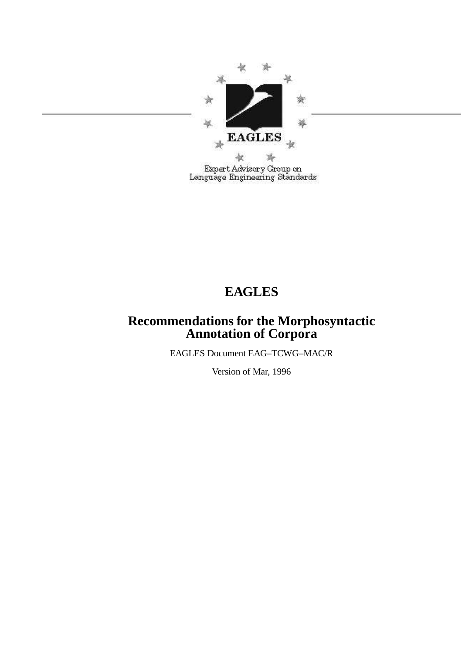

Expert Advisory Group on<br>Language Engineering Standards

# **EAGLES**

# **Recommendations for the Morphosyntactic Annotation of Corpora**

EAGLES Document EAG–TCWG–MAC/R

Version of Mar, 1996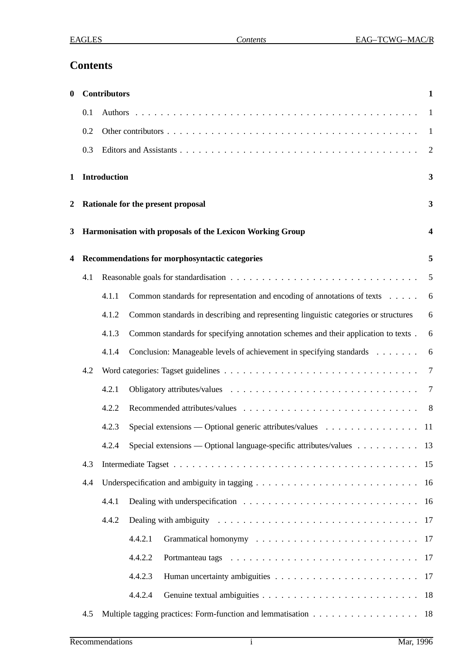## **Contents**

| $\bf{0}$ |                                                                                      | <b>Contributors</b> |         |                                                                                                                     | $\mathbf{1}$            |  |
|----------|--------------------------------------------------------------------------------------|---------------------|---------|---------------------------------------------------------------------------------------------------------------------|-------------------------|--|
|          | 0.1                                                                                  |                     |         |                                                                                                                     | -1                      |  |
|          | 0.2                                                                                  |                     |         |                                                                                                                     | -1                      |  |
|          | 0.3                                                                                  |                     |         |                                                                                                                     | $\overline{2}$          |  |
| 1        |                                                                                      | <b>Introduction</b> |         |                                                                                                                     | $\overline{\mathbf{3}}$ |  |
| 2        |                                                                                      |                     |         | Rationale for the present proposal                                                                                  | 3                       |  |
| 3        | Harmonisation with proposals of the Lexicon Working Group<br>$\overline{\mathbf{4}}$ |                     |         |                                                                                                                     |                         |  |
| 4        |                                                                                      |                     |         | Recommendations for morphosyntactic categories                                                                      | 5                       |  |
|          | 4.1                                                                                  |                     |         |                                                                                                                     | 5                       |  |
|          |                                                                                      | 4.1.1               |         | Common standards for representation and encoding of annotations of texts                                            | 6                       |  |
|          |                                                                                      | 4.1.2               |         | Common standards in describing and representing linguistic categories or structures                                 | 6                       |  |
|          |                                                                                      | 4.1.3               |         | Common standards for specifying annotation schemes and their application to texts.                                  | 6                       |  |
|          |                                                                                      | 4.1.4               |         | Conclusion: Manageable levels of achievement in specifying standards                                                | 6                       |  |
|          | 4.2                                                                                  |                     |         |                                                                                                                     | $\overline{7}$          |  |
|          |                                                                                      | 4.2.1               |         |                                                                                                                     | $\overline{7}$          |  |
|          |                                                                                      | 4.2.2               |         |                                                                                                                     | 8                       |  |
|          |                                                                                      | 4.2.3               |         | Special extensions — Optional generic attributes/values $\ldots \ldots \ldots \ldots \ldots$                        | 11                      |  |
|          |                                                                                      | 4.2.4               |         | Special extensions — Optional language-specific attributes/values                                                   | 13                      |  |
|          | 4.3                                                                                  |                     |         |                                                                                                                     | 15                      |  |
|          | 4.4                                                                                  |                     |         | Underspecification and ambiguity in tagging $\ldots \ldots \ldots \ldots \ldots \ldots \ldots \ldots \ldots \ldots$ | 16                      |  |
|          |                                                                                      | 4.4.1               |         |                                                                                                                     | 16                      |  |
|          |                                                                                      | 4.4.2               |         |                                                                                                                     | 17                      |  |
|          |                                                                                      |                     | 4.4.2.1 |                                                                                                                     |                         |  |
|          |                                                                                      |                     | 4.4.2.2 |                                                                                                                     | 17                      |  |
|          |                                                                                      |                     | 4.4.2.3 |                                                                                                                     | 17                      |  |
|          |                                                                                      |                     | 4.4.2.4 |                                                                                                                     | 18                      |  |
|          | 4.5                                                                                  |                     |         | Multiple tagging practices: Form-function and lemmatisation 18                                                      |                         |  |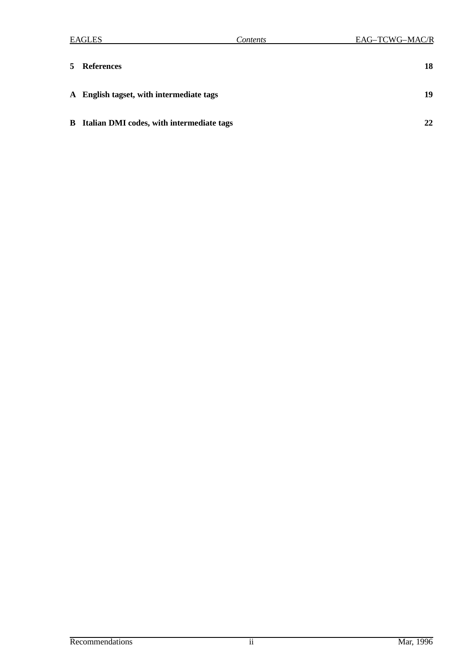| 5 References                                       | 18 |
|----------------------------------------------------|----|
| A English tagset, with intermediate tags           | 19 |
| <b>B</b> Italian DMI codes, with intermediate tags | 22 |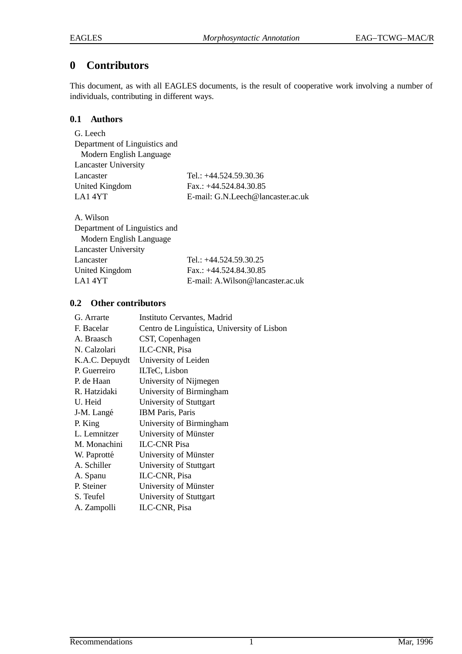## **0 Contributors**

This document, as with all EAGLES documents, is the result of cooperative work involving a number of individuals, contributing in different ways.

## **0.1 Authors**

| G. Leech                      |                                   |
|-------------------------------|-----------------------------------|
| Department of Linguistics and |                                   |
| Modern English Language       |                                   |
| <b>Lancaster University</b>   |                                   |
| Lancaster                     | Tel.: $+44.524.59.30.36$          |
| United Kingdom                | Fax.: $+44.524.84.30.85$          |
| LA <sub>1</sub> $4YT$         | E-mail: G.N.Leech@lancaster.ac.uk |
|                               |                                   |

A. Wilson Department of Linguistics and Modern English Language Lancaster University Lancaster Tel.: +44.524.59.30.25 United Kingdom Fax.: +44.524.84.30.85 LA1 4YT E-mail: A.Wilson@lancaster.ac.uk

## **0.2 Other contributors**

| G. Arrarte     | Instituto Cervantes, Madrid                 |
|----------------|---------------------------------------------|
| F. Bacelar     | Centro de Linguística, University of Lisbon |
| A. Braasch     | CST, Copenhagen                             |
| N. Calzolari   | ILC-CNR, Pisa                               |
| K.A.C. Depuydt | University of Leiden                        |
| P. Guerreiro   | ILTeC, Lisbon                               |
| P. de Haan     | University of Nijmegen                      |
| R. Hatzidaki   | University of Birmingham                    |
| U. Heid        | University of Stuttgart                     |
| J-M. Langé     | <b>IBM Paris, Paris</b>                     |
| P. King        | University of Birmingham                    |
| L. Lemnitzer   | University of Münster                       |
| M. Monachini   | <b>ILC-CNR Pisa</b>                         |
| W. Paprotté    | University of Münster                       |
| A. Schiller    | University of Stuttgart                     |
| A. Spanu       | ILC-CNR, Pisa                               |
| P. Steiner     | University of Münster                       |
| S. Teufel      | University of Stuttgart                     |
| A. Zampolli    | ILC-CNR, Pisa                               |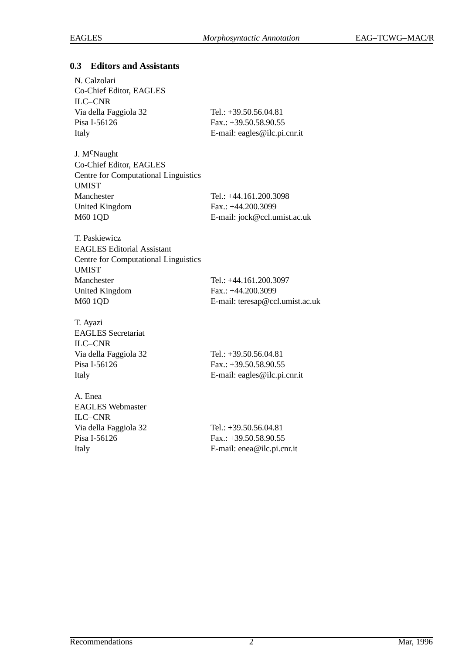## **0.3 Editors and Assistants**

N. Calzolari Co-Chief Editor, EAGLES ILC–CNR Via della Faggiola 32 Tel.: +39.50.56.04.81 Pisa I-56126 Fax.: +39.50.58.90.55

J. M<sup>c</sup>Naught Co-Chief Editor, EAGLES Centre for Computational Linguistics UMIST Manchester Tel.: +44.161.200.3098 United Kingdom Fax.: +44.200.3099 M60 1QD E-mail: jock@ccl.umist.ac.uk

Italy E-mail: eagles @ilc.pi.cnr.it

T. Paskiewicz EAGLES Editorial Assistant Centre for Computational Linguistics UMIST Manchester Tel.: +44.161.200.3097 United Kingdom Fax.: +44.200.3099 M60 1QD E-mail: teresap@ccl.umist.ac.uk

T. Ayazi EAGLES Secretariat ILC–CNR Via della Faggiola 32 Tel.: +39.50.56.04.81 Pisa I-56126 Fax.: +39.50.58.90.55

A. Enea EAGLES Webmaster ILC–CNR Via della Faggiola 32 Tel.: +39.50.56.04.81 Pisa I-56126 Fax.: +39.50.58.90.55

Italy E-mail: eagles @ilc.pi.cnr.it

Italy E-mail: enea@ilc.pi.cnr.it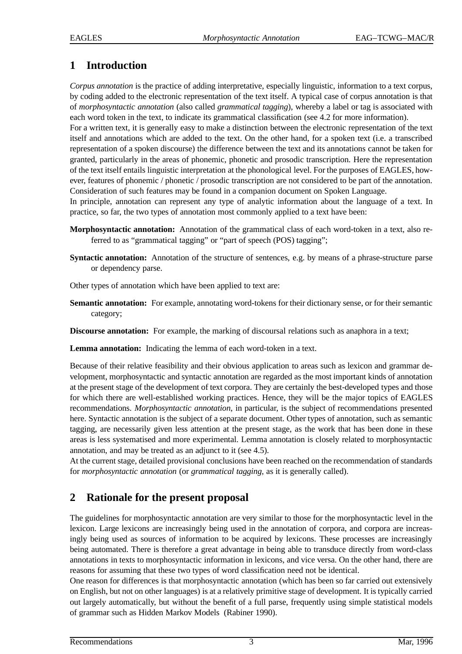## **1 Introduction**

*Corpus annotation* is the practice of adding interpretative, especially linguistic, information to a text corpus, by coding added to the electronic representation of the text itself. A typical case of corpus annotation is that of *morphosyntactic annotation* (also called *grammatical tagging*), whereby a label or tag is associated with each word token in the text, to indicate its grammatical classification (see 4.2 for more information).

For a written text, it is generally easy to make a distinction between the electronic representation of the text itself and annotations which are added to the text. On the other hand, for a spoken text (i.e. a transcribed representation of a spoken discourse) the difference between the text and its annotations cannot be taken for granted, particularly in the areas of phonemic, phonetic and prosodic transcription. Here the representation of the text itself entails linguistic interpretation at the phonological level. For the purposes of EAGLES, however, features of phonemic / phonetic / prosodic transcription are not considered to be part of the annotation. Consideration of such features may be found in a companion document on Spoken Language.

In principle, annotation can represent any type of analytic information about the language of a text. In practice, so far, the two types of annotation most commonly applied to a text have been:

- **Morphosyntactic annotation:** Annotation of the grammatical class of each word-token in a text, also referred to as "grammatical tagging" or "part of speech (POS) tagging";
- **Syntactic annotation:** Annotation of the structure of sentences, e.g. by means of a phrase-structure parse or dependency parse.

Other types of annotation which have been applied to text are:

**Semantic annotation:** For example, annotating word-tokens for their dictionary sense, or for their semantic category;

**Discourse annotation:** For example, the marking of discoursal relations such as anaphora in a text;

**Lemma annotation:** Indicating the lemma of each word-token in a text.

Because of their relative feasibility and their obvious application to areas such as lexicon and grammar development, morphosyntactic and syntactic annotation are regarded as the most important kinds of annotation at the present stage of the development of text corpora. They are certainly the best-developed types and those for which there are well-established working practices. Hence, they will be the major topics of EAGLES recommendations. *Morphosyntactic annotation*, in particular, is the subject of recommendations presented here. Syntactic annotation is the subject of a separate document. Other types of annotation, such as semantic tagging, are necessarily given less attention at the present stage, as the work that has been done in these areas is less systematised and more experimental. Lemma annotation is closely related to morphosyntactic annotation, and may be treated as an adjunct to it (see 4.5).

At the current stage, detailed provisional conclusions have been reached on the recommendation of standards for *morphosyntactic annotation* (or *grammatical tagging*, as it is generally called).

## **2 Rationale for the present proposal**

The guidelines for morphosyntactic annotation are very similar to those for the morphosyntactic level in the lexicon. Large lexicons are increasingly being used in the annotation of corpora, and corpora are increasingly being used as sources of information to be acquired by lexicons. These processes are increasingly being automated. There is therefore a great advantage in being able to transduce directly from word-class annotations in texts to morphosyntactic information in lexicons, and vice versa. On the other hand, there are reasons for assuming that these two types of word classification need not be identical.

One reason for differences is that morphosyntactic annotation (which has been so far carried out extensively on English, but not on other languages) is at a relatively primitive stage of development. It is typically carried out largely automatically, but without the benefit of a full parse, frequently using simple statistical models of grammar such as Hidden Markov Models (Rabiner 1990).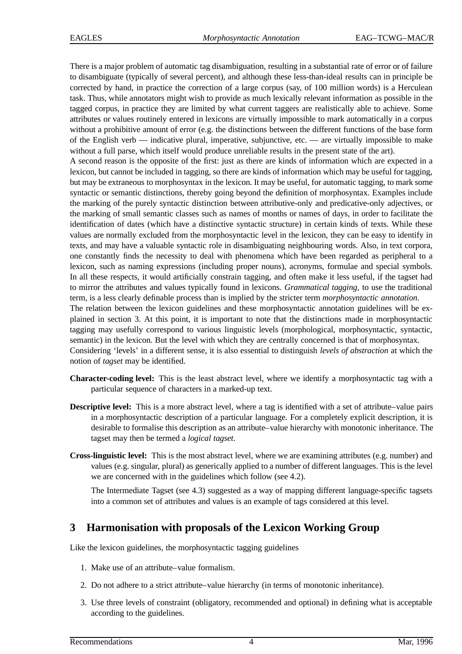There is a major problem of automatic tag disambiguation, resulting in a substantial rate of error or of failure to disambiguate (typically of several percent), and although these less-than-ideal results can in principle be corrected by hand, in practice the correction of a large corpus (say, of 100 million words) is a Herculean task. Thus, while annotators might wish to provide as much lexically relevant information as possible in the tagged corpus, in practice they are limited by what current taggers are realistically able to achieve. Some attributes or values routinely entered in lexicons are virtually impossible to mark automatically in a corpus without a prohibitive amount of error (e.g. the distinctions between the different functions of the base form of the English verb — indicative plural, imperative, subjunctive, etc. — are virtually impossible to make without a full parse, which itself would produce unreliable results in the present state of the art).

A second reason is the opposite of the first: just as there are kinds of information which are expected in a lexicon, but cannot be included in tagging, so there are kinds of information which may be useful for tagging, but may be extraneous to morphosyntax in the lexicon. It may be useful, for automatic tagging, to mark some syntactic or semantic distinctions, thereby going beyond the definition of morphosyntax. Examples include the marking of the purely syntactic distinction between attributive-only and predicative-only adjectives, or the marking of small semantic classes such as names of months or names of days, in order to facilitate the identification of dates (which have a distinctive syntactic structure) in certain kinds of texts. While these values are normally excluded from the morphosyntactic level in the lexicon, they can be easy to identify in texts, and may have a valuable syntactic role in disambiguating neighbouring words. Also, in text corpora, one constantly finds the necessity to deal with phenomena which have been regarded as peripheral to a lexicon, such as naming expressions (including proper nouns), acronyms, formulae and special symbols. In all these respects, it would artificially constrain tagging, and often make it less useful, if the tagset had to mirror the attributes and values typically found in lexicons. *Grammatical tagging*, to use the traditional term, is a less clearly definable process than is implied by the stricter term *morphosyntactic annotation*. The relation between the lexicon guidelines and these morphosyntactic annotation guidelines will be explained in section 3. At this point, it is important to note that the distinctions made in morphosyntactic tagging may usefully correspond to various linguistic levels (morphological, morphosyntactic, syntactic, semantic) in the lexicon. But the level with which they are centrally concerned is that of morphosyntax.

Considering 'levels' in a different sense, it is also essential to distinguish *levels of abstraction* at which the notion of *tagset* may be identified.

- **Character-coding level:** This is the least abstract level, where we identify a morphosyntactic tag with a particular sequence of characters in a marked-up text.
- **Descriptive level:** This is a more abstract level, where a tag is identified with a set of attribute–value pairs in a morphosyntactic description of a particular language. For a completely explicit description, it is desirable to formalise this description as an attribute–value hierarchy with monotonic inheritance. The tagset may then be termed a *logical tagset*.
- **Cross-linguistic level:** This is the most abstract level, where we are examining attributes (e.g. number) and values (e.g. singular, plural) as generically applied to a number of different languages. This is the level we are concerned with in the guidelines which follow (see 4.2).

The Intermediate Tagset (see 4.3) suggested as a way of mapping different language-specific tagsets into a common set of attributes and values is an example of tags considered at this level.

## **3 Harmonisation with proposals of the Lexicon Working Group**

Like the lexicon guidelines, the morphosyntactic tagging guidelines

- 1. Make use of an attribute–value formalism.
- 2. Do not adhere to a strict attribute–value hierarchy (in terms of monotonic inheritance).
- 3. Use three levels of constraint (obligatory, recommended and optional) in defining what is acceptable according to the guidelines.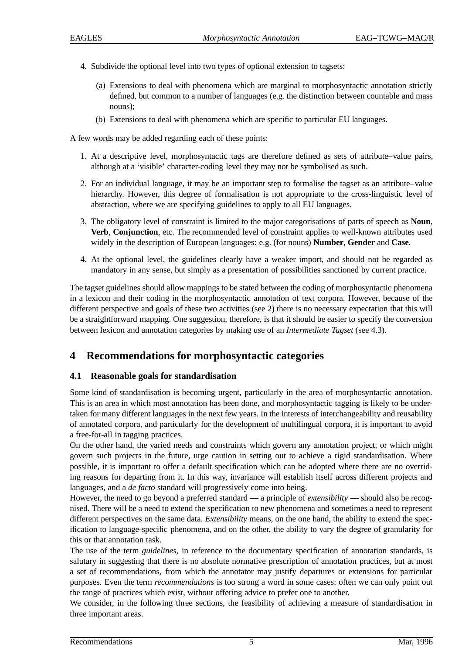- 4. Subdivide the optional level into two types of optional extension to tagsets:
	- (a) Extensions to deal with phenomena which are marginal to morphosyntactic annotation strictly defined, but common to a number of languages (e.g. the distinction between countable and mass nouns);
	- (b) Extensions to deal with phenomena which are specific to particular EU languages.

A few words may be added regarding each of these points:

- 1. At a descriptive level, morphosyntactic tags are therefore defined as sets of attribute–value pairs, although at a 'visible' character-coding level they may not be symbolised as such.
- 2. For an individual language, it may be an important step to formalise the tagset as an attribute–value hierarchy. However, this degree of formalisation is not appropriate to the cross-linguistic level of abstraction, where we are specifying guidelines to apply to all EU languages.
- 3. The obligatory level of constraint is limited to the major categorisations of parts of speech as **Noun**, **Verb**, **Conjunction**, etc. The recommended level of constraint applies to well-known attributes used widely in the description of European languages: e.g. (for nouns) **Number**, **Gender** and **Case**.
- 4. At the optional level, the guidelines clearly have a weaker import, and should not be regarded as mandatory in any sense, but simply as a presentation of possibilities sanctioned by current practice.

The tagset guidelines should allow mappings to be stated between the coding of morphosyntactic phenomena in a lexicon and their coding in the morphosyntactic annotation of text corpora. However, because of the different perspective and goals of these two activities (see 2) there is no necessary expectation that this will be a straightforward mapping. One suggestion, therefore, is that it should be easier to specify the conversion between lexicon and annotation categories by making use of an *Intermediate Tagset* (see 4.3).

## **4 Recommendations for morphosyntactic categories**

### **4.1 Reasonable goals for standardisation**

Some kind of standardisation is becoming urgent, particularly in the area of morphosyntactic annotation. This is an area in which most annotation has been done, and morphosyntactic tagging is likely to be undertaken for many different languages in the next few years. In the interests of interchangeability and reusability of annotated corpora, and particularly for the development of multilingual corpora, it is important to avoid a free-for-all in tagging practices.

On the other hand, the varied needs and constraints which govern any annotation project, or which might govern such projects in the future, urge caution in setting out to achieve a rigid standardisation. Where possible, it is important to offer a default specification which can be adopted where there are no overriding reasons for departing from it. In this way, invariance will establish itself across different projects and languages, and a *de facto* standard will progressively come into being.

However, the need to go beyond a preferred standard — a principle of *extensibility* — should also be recognised. There will be a need to extend the specification to new phenomena and sometimes a need to represent different perspectives on the same data. *Extensibility* means, on the one hand, the ability to extend the specification to language-specific phenomena, and on the other, the ability to vary the degree of granularity for this or that annotation task.

The use of the term *guidelines*, in reference to the documentary specification of annotation standards, is salutary in suggesting that there is no absolute normative prescription of annotation practices, but at most a set of recommendations, from which the annotator may justify departures or extensions for particular purposes. Even the term *recommendations* is too strong a word in some cases: often we can only point out the range of practices which exist, without offering advice to prefer one to another.

We consider, in the following three sections, the feasibility of achieving a measure of standardisation in three important areas.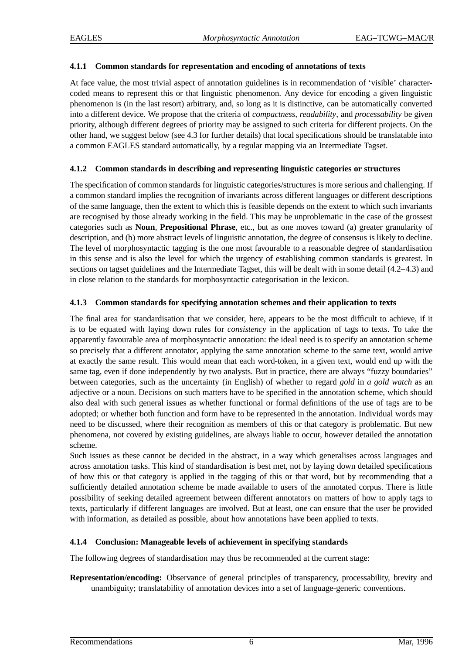#### **4.1.1 Common standards for representation and encoding of annotations of texts**

At face value, the most trivial aspect of annotation guidelines is in recommendation of 'visible' charactercoded means to represent this or that linguistic phenomenon. Any device for encoding a given linguistic phenomenon is (in the last resort) arbitrary, and, so long as it is distinctive, can be automatically converted into a different device. We propose that the criteria of *compactness*, *readability*, and *processability* be given priority, although different degrees of priority may be assigned to such criteria for different projects. On the other hand, we suggest below (see 4.3 for further details) that local specifications should be translatable into a common EAGLES standard automatically, by a regular mapping via an Intermediate Tagset.

### **4.1.2 Common standards in describing and representing linguistic categories or structures**

The specification of common standards for linguistic categories/structures is more serious and challenging. If a common standard implies the recognition of invariants across different languages or different descriptions of the same language, then the extent to which this is feasible depends on the extent to which such invariants are recognised by those already working in the field. This may be unproblematic in the case of the grossest categories such as **Noun**, **Prepositional Phrase**, etc., but as one moves toward (a) greater granularity of description, and (b) more abstract levels of linguistic annotation, the degree of consensus is likely to decline. The level of morphosyntactic tagging is the one most favourable to a reasonable degree of standardisation in this sense and is also the level for which the urgency of establishing common standards is greatest. In sections on tagset guidelines and the Intermediate Tagset, this will be dealt with in some detail (4.2–4.3) and in close relation to the standards for morphosyntactic categorisation in the lexicon.

#### **4.1.3 Common standards for specifying annotation schemes and their application to texts**

The final area for standardisation that we consider, here, appears to be the most difficult to achieve, if it is to be equated with laying down rules for *consistency* in the application of tags to texts. To take the apparently favourable area of morphosyntactic annotation: the ideal need is to specify an annotation scheme so precisely that a different annotator, applying the same annotation scheme to the same text, would arrive at exactly the same result. This would mean that each word-token, in a given text, would end up with the same tag, even if done independently by two analysts. But in practice, there are always "fuzzy boundaries" between categories, such as the uncertainty (in English) of whether to regard *gold* in *a gold watch* as an adjective or a noun. Decisions on such matters have to be specified in the annotation scheme, which should also deal with such general issues as whether functional or formal definitions of the use of tags are to be adopted; or whether both function and form have to be represented in the annotation. Individual words may need to be discussed, where their recognition as members of this or that category is problematic. But new phenomena, not covered by existing guidelines, are always liable to occur, however detailed the annotation scheme.

Such issues as these cannot be decided in the abstract, in a way which generalises across languages and across annotation tasks. This kind of standardisation is best met, not by laying down detailed specifications of how this or that category is applied in the tagging of this or that word, but by recommending that a sufficiently detailed annotation scheme be made available to users of the annotated corpus. There is little possibility of seeking detailed agreement between different annotators on matters of how to apply tags to texts, particularly if different languages are involved. But at least, one can ensure that the user be provided with information, as detailed as possible, about how annotations have been applied to texts.

### **4.1.4 Conclusion: Manageable levels of achievement in specifying standards**

The following degrees of standardisation may thus be recommended at the current stage:

**Representation/encoding:** Observance of general principles of transparency, processability, brevity and unambiguity; translatability of annotation devices into a set of language-generic conventions.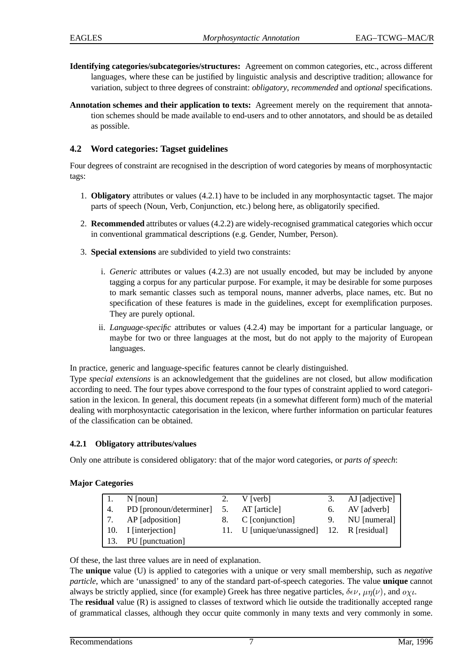- **Identifying categories/subcategories/structures:** Agreement on common categories, etc., across different languages, where these can be justified by linguistic analysis and descriptive tradition; allowance for variation, subject to three degrees of constraint: *obligatory*, *recommended* and *optional* specifications.
- **Annotation schemes and their application to texts:** Agreement merely on the requirement that annotation schemes should be made available to end-users and to other annotators, and should be as detailed as possible.

## **4.2 Word categories: Tagset guidelines**

Four degrees of constraint are recognised in the description of word categories by means of morphosyntactic tags:

- 1. **Obligatory** attributes or values (4.2.1) have to be included in any morphosyntactic tagset. The major parts of speech (Noun, Verb, Conjunction, etc.) belong here, as obligatorily specified.
- 2. **Recommended** attributes or values (4.2.2) are widely-recognised grammatical categories which occur in conventional grammatical descriptions (e.g. Gender, Number, Person).
- 3. **Special extensions** are subdivided to yield two constraints:
	- i. *Generic* attributes or values (4.2.3) are not usually encoded, but may be included by anyone tagging a corpus for any particular purpose. For example, it may be desirable for some purposes to mark semantic classes such as temporal nouns, manner adverbs, place names, etc. But no specification of these features is made in the guidelines, except for exemplification purposes. They are purely optional.
	- ii. *Language-specific* attributes or values (4.2.4) may be important for a particular language, or maybe for two or three languages at the most, but do not apply to the majority of European languages.

In practice, generic and language-specific features cannot be clearly distinguished.

Type *special extensions* is an acknowledgement that the guidelines are not closed, but allow modification according to need. The four types above correspond to the four types of constraint applied to word categorisation in the lexicon. In general, this document repeats (in a somewhat different form) much of the material dealing with morphosyntactic categorisation in the lexicon, where further information on particular features of the classification can be obtained.

### **4.2.1 Obligatory attributes/values**

Only one attribute is considered obligatory: that of the major word categories, or *parts of speech*:

#### **Major Categories**

| $N$ [noun]                                 | 2. $V$ [verb]                              | 3. AJ [adjective] |
|--------------------------------------------|--------------------------------------------|-------------------|
| 4. PD [pronoun/determiner] 5. AT [article] |                                            | 6. AV [adverb]    |
| 7. AP [adposition]                         | 8. C [conjunction]                         | 9. NU [numeral]   |
| 10. I [interjection]                       | 11. U [unique/unassigned] 12. R [residual] |                   |
| 13. PU [punctuation]                       |                                            |                   |

Of these, the last three values are in need of explanation.

The **unique** value (U) is applied to categories with a unique or very small membership, such as *negative particle*, which are 'unassigned' to any of the standard part-of-speech categories. The value **unique** cannot always be strictly applied, since (for example) Greek has three negative particles,  $\delta \epsilon \nu$ ,  $\mu \eta(\nu)$ , and  $\delta \chi \iota$ . The **residual** value (R) is assigned to classes of textword which lie outside the traditionally accepted range of grammatical classes, although they occur quite commonly in many texts and very commonly in some.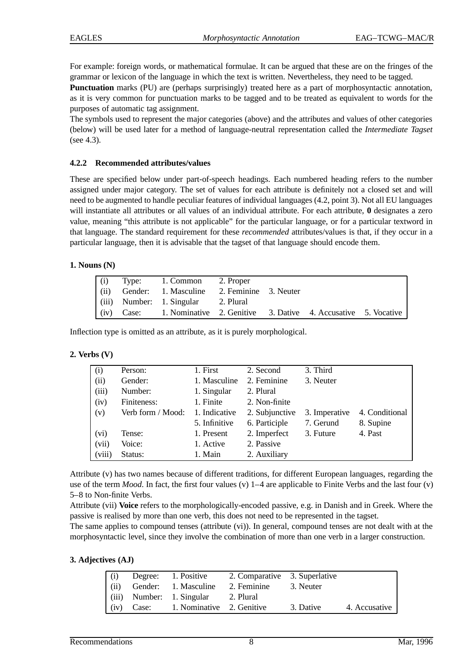For example: foreign words, or mathematical formulae. It can be argued that these are on the fringes of the grammar or lexicon of the language in which the text is written. Nevertheless, they need to be tagged.

**Punctuation** marks (PU) are (perhaps surprisingly) treated here as a part of morphosyntactic annotation, as it is very common for punctuation marks to be tagged and to be treated as equivalent to words for the purposes of automatic tag assignment.

The symbols used to represent the major categories (above) and the attributes and values of other categories (below) will be used later for a method of language-neutral representation called the *Intermediate Tagset* (see 4.3).

#### **4.2.2 Recommended attributes/values**

These are specified below under part-of-speech headings. Each numbered heading refers to the number assigned under major category. The set of values for each attribute is definitely not a closed set and will need to be augmented to handle peculiar features of individual languages (4.2, point 3). Not all EU languages will instantiate all attributes or all values of an individual attribute. For each attribute, **0** designates a zero value, meaning "this attribute is not applicable" for the particular language, or for a particular textword in that language. The standard requirement for these *recommended* attributes/values is that, if they occur in a particular language, then it is advisable that the tagset of that language should encode them.

#### **1. Nouns (N)**

| (i) | Type: 1. Common                                                          | 2. Proper             |  |  |
|-----|--------------------------------------------------------------------------|-----------------------|--|--|
|     | $(iii)$ Gender: 1. Masculine                                             | 2. Feminine 3. Neuter |  |  |
|     | $\int$ (iii) Number: 1. Singular 2. Plural                               |                       |  |  |
|     | (iv) Case: 1. Nominative 2. Genitive 3. Dative 4. Accusative 5. Vocative |                       |  |  |

Inflection type is omitted as an attribute, as it is purely morphological.

#### **2. Verbs (V)**

| (i)    | Person:           | 1. First      | 2. Second      | 3. Third      |                |
|--------|-------------------|---------------|----------------|---------------|----------------|
| (ii)   | Gender:           | 1. Masculine  | 2. Feminine    | 3. Neuter     |                |
| (iii)  | Number:           | 1. Singular   | 2. Plural      |               |                |
| (iv)   | Finiteness:       | 1. Finite     | 2. Non-finite  |               |                |
| (v)    | Verb form / Mood: | 1. Indicative | 2. Subjunctive | 3. Imperative | 4. Conditional |
|        |                   | 5. Infinitive | 6. Participle  | 7. Gerund     | 8. Supine      |
| (vi)   | Tense:            | 1. Present    | 2. Imperfect   | 3. Future     | 4. Past        |
| (vii)  | Voice:            | 1. Active     | 2. Passive     |               |                |
| (viii) | Status:           | 1. Main       | 2. Auxiliary   |               |                |

Attribute (v) has two names because of different traditions, for different European languages, regarding the use of the term *Mood*. In fact, the first four values (v) 1–4 are applicable to Finite Verbs and the last four (v) 5–8 to Non-finite Verbs.

Attribute (vii) **Voice** refers to the morphologically-encoded passive, e.g. in Danish and in Greek. Where the passive is realised by more than one verb, this does not need to be represented in the tagset.

The same applies to compound tenses (attribute (vi)). In general, compound tenses are not dealt with at the morphosyntactic level, since they involve the combination of more than one verb in a larger construction.

#### **3. Adjectives (AJ)**

| (i)  | Degree: 1. Positive             | 2. Comparative 3. Superlative |           |               |
|------|---------------------------------|-------------------------------|-----------|---------------|
| (ii) | Gender: 1. Masculine            | 2. Feminine                   | 3. Neuter |               |
|      | (iii) Number: 1. Singular       | 2. Plural                     |           |               |
| (iv) | Case: 1. Nominative 2. Genitive |                               | 3. Dative | 4. Accusative |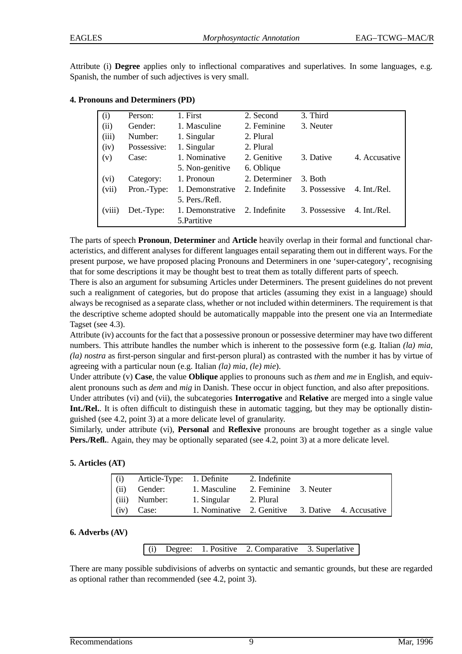Attribute (i) **Degree** applies only to inflectional comparatives and superlatives. In some languages, e.g. Spanish, the number of such adjectives is very small.

| (i)    | Person:     | 1. First         | 2. Second     | 3. Third      |               |
|--------|-------------|------------------|---------------|---------------|---------------|
| (ii)   | Gender:     | 1. Masculine     | 2. Feminine   | 3. Neuter     |               |
| (iii)  | Number:     | 1. Singular      | 2. Plural     |               |               |
| (iv)   | Possessive: | 1. Singular      | 2. Plural     |               |               |
| (v)    | Case:       | 1. Nominative    | 2. Genitive   | 3. Dative     | 4. Accusative |
|        |             | 5. Non-genitive  | 6. Oblique    |               |               |
| (vi)   | Category:   | 1. Pronoun       | 2. Determiner | 3. Both       |               |
| (vii)  | Pron.-Type: | 1. Demonstrative | 2. Indefinite | 3. Possessive | 4. Int./Rel.  |
|        |             | 5. Pers./Refl.   |               |               |               |
| (viii) | Det.-Type:  | 1. Demonstrative | 2. Indefinite | 3. Possessive | 4. Int./Rel.  |
|        |             | 5. Partitive     |               |               |               |

|  |  |  | <b>4. Pronouns and Determiners (PD)</b> |  |
|--|--|--|-----------------------------------------|--|
|--|--|--|-----------------------------------------|--|

The parts of speech **Pronoun**, **Determiner** and **Article** heavily overlap in their formal and functional characteristics, and different analyses for different languages entail separating them out in different ways. For the present purpose, we have proposed placing Pronouns and Determiners in one 'super-category', recognising that for some descriptions it may be thought best to treat them as totally different parts of speech.

There is also an argument for subsuming Articles under Determiners. The present guidelines do not prevent such a realignment of categories, but do propose that articles (assuming they exist in a language) should always be recognised as a separate class, whether or not included within determiners. The requirement is that the descriptive scheme adopted should be automatically mappable into the present one via an Intermediate Tagset (see 4.3).

Attribute (iv) accounts for the fact that a possessive pronoun or possessive determiner may have two different numbers. This attribute handles the number which is inherent to the possessive form (e.g. Italian *(la) mia, (la) nostra* as first-person singular and first-person plural) as contrasted with the number it has by virtue of agreeing with a particular noun (e.g. Italian *(la) mia, (le) mie*).

Under attribute (v) **Case**, the value **Oblique** applies to pronouns such as *them* and *me* in English, and equivalent pronouns such as *dem* and *mig* in Danish. These occur in object function, and also after prepositions. Under attributes (vi) and (vii), the subcategories **Interrogative** and **Relative** are merged into a single value **Int./Rel.**. It is often difficult to distinguish these in automatic tagging, but they may be optionally distin-

guished (see 4.2, point 3) at a more delicate level of granularity.

Similarly, under attribute (vi), **Personal** and **Reflexive** pronouns are brought together as a single value **Pers./Refl.** Again, they may be optionally separated (see 4.2, point 3) at a more delicate level.

### **5. Articles (AT)**

| (i)   | Article-Type: 1. Definite |                                                   | 2. Indefinite         |  |
|-------|---------------------------|---------------------------------------------------|-----------------------|--|
| (iii) | Gender:                   | 1. Masculine                                      | 2. Feminine 3. Neuter |  |
|       | (iii) Number:             | 1. Singular 2. Plural                             |                       |  |
|       | $(iv)$ Case:              | 1. Nominative 2. Genitive 3. Dative 4. Accusative |                       |  |

#### **6. Adverbs (AV)**

(i) Degree: 1. Positive 2. Comparative 3. Superlative

There are many possible subdivisions of adverbs on syntactic and semantic grounds, but these are regarded as optional rather than recommended (see 4.2, point 3).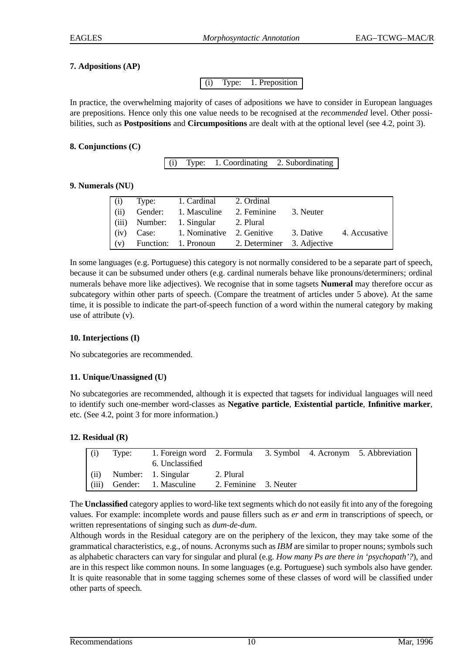## **7. Adpositions (AP)**

(i) Type: 1. Preposition

In practice, the overwhelming majority of cases of adpositions we have to consider in European languages are prepositions. Hence only this one value needs to be recognised at the *recommended* level. Other possibilities, such as **Postpositions** and **Circumpositions** are dealt with at the optional level (see 4.2, point 3).

#### **8. Conjunctions (C)**



#### **9. Numerals (NU)**

| (i) | Type: 1. Cardinal 2. Ordinal                                 |  |  |
|-----|--------------------------------------------------------------|--|--|
|     | (ii) Gender: 1. Masculine 2. Feminine 3. Neuter              |  |  |
|     | (iii) Number: 1. Singular 2. Plural                          |  |  |
|     | (iv) Case: 1. Nominative 2. Genitive 3. Dative 4. Accusative |  |  |
|     | $\vert$ (v) Function: 1. Pronoun 2. Determiner 3. Adjective  |  |  |

In some languages (e.g. Portuguese) this category is not normally considered to be a separate part of speech, because it can be subsumed under others (e.g. cardinal numerals behave like pronouns/determiners; ordinal numerals behave more like adjectives). We recognise that in some tagsets **Numeral** may therefore occur as subcategory within other parts of speech. (Compare the treatment of articles under 5 above). At the same time, it is possible to indicate the part-of-speech function of a word within the numeral category by making use of attribute (v).

#### **10. Interjections (I)**

No subcategories are recommended.

#### **11. Unique/Unassigned (U)**

No subcategories are recommended, although it is expected that tagsets for individual languages will need to identify such one-member word-classes as **Negative particle**, **Existential particle**, **Infinitive marker**, etc. (See 4.2, point 3 for more information.)

#### **12. Residual (R)**

| (i)   | Type: |                      |                       |  | 1. Foreign word 2. Formula 3. Symbol 4. Acronym 5. Abbreviation |
|-------|-------|----------------------|-----------------------|--|-----------------------------------------------------------------|
|       |       | 6. Unclassified      |                       |  |                                                                 |
| (ii)  |       | Number: 1. Singular  | 2. Plural             |  |                                                                 |
| (iii) |       | Gender: 1. Masculine | 2. Feminine 3. Neuter |  |                                                                 |

The **Unclassified** category applies to word-like text segments which do not easily fit into any of the foregoing values. For example: incomplete words and pause fillers such as *er* and *erm* in transcriptions of speech, or written representations of singing such as *dum-de-dum*.

Although words in the Residual category are on the periphery of the lexicon, they may take some of the grammatical characteristics, e.g., of nouns. Acronyms such as *IBM* are similar to proper nouns; symbols such as alphabetic characters can vary for singular and plural (e.g. *How many Ps are there in 'psychopath'?*), and are in this respect like common nouns. In some languages (e.g. Portuguese) such symbols also have gender. It is quite reasonable that in some tagging schemes some of these classes of word will be classified under other parts of speech.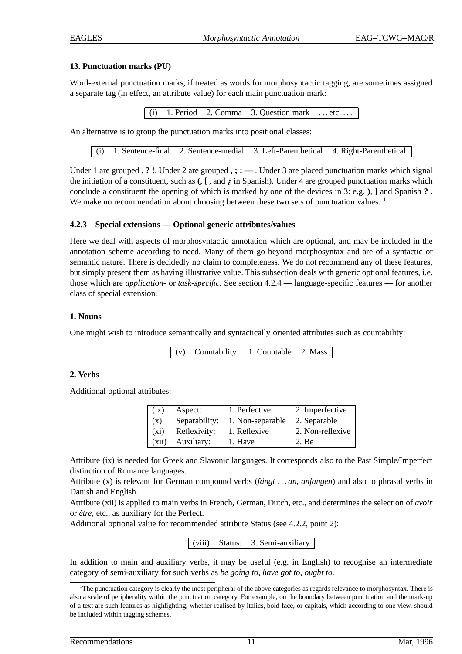### **13. Punctuation marks (PU)**

Word-external punctuation marks, if treated as words for morphosyntactic tagging, are sometimes assigned a separate tag (in effect, an attribute value) for each main punctuation mark:

(i) 1. Period 2. Comma 3. Question mark  $\dots$  etc.  $\dots$ 

An alternative is to group the punctuation marks into positional classes:

(i) 1. Sentence-final 2. Sentence-medial 3. Left-Parenthetical 4. Right-Parenthetical

Under 1 are grouped **. ? !**. Under 2 are grouped **, ; : —** . Under 3 are placed punctuation marks which signal the initiation of a constituent, such as **(**, **[** , and **¿** in Spanish). Under 4 are grouped punctuation marks which conclude a constituent the opening of which is marked by one of the devices in 3: e.g. **)**, **]** and Spanish **?** . We make no recommendation about choosing between these two sets of punctuation values.<sup>1</sup>

#### **4.2.3 Special extensions — Optional generic attributes/values**

Here we deal with aspects of morphosyntactic annotation which are optional, and may be included in the annotation scheme according to need. Many of them go beyond morphosyntax and are of a syntactic or semantic nature. There is decidedly no claim to completeness. We do not recommend any of these features, but simply present them as having illustrative value. This subsection deals with generic optional features, i.e. those which are *application-* or *task-specific*. See section 4.2.4 — language-specific features — for another class of special extension.

#### **1. Nouns**

One might wish to introduce semantically and syntactically oriented attributes such as countability:

(v) Countability: 1. Countable 2. Mass

### **2. Verbs**

Additional optional attributes:

| (ix)  | Aspect:       | 1. Perfective    | 2. Imperfective  |
|-------|---------------|------------------|------------------|
| (x)   | Separability: | 1. Non-separable | 2. Separable     |
| (xi)  | Reflexivity:  | 1. Reflexive     | 2. Non-reflexive |
| (xii) | Auxiliary:    | 1. Have          | 2. Be            |

Attribute (ix) is needed for Greek and Slavonic languages. It corresponds also to the Past Simple/Imperfect distinction of Romance languages.

Attribute (x) is relevant for German compound verbs (*fängt ... an, anfangen*) and also to phrasal verbs in Danish and English.

Attribute (xii) is applied to main verbs in French, German, Dutch, etc., and determines the selection of *avoir* or  $\hat{e}$ *tre*, etc., as auxiliary for the Perfect.

Additional optional value for recommended attribute Status (see 4.2.2, point 2):

### (viii) Status: 3. Semi-auxiliary

In addition to main and auxiliary verbs, it may be useful (e.g. in English) to recognise an intermediate category of semi-auxiliary for such verbs as *be going to*, *have got to*, *ought to*.

<sup>&</sup>lt;sup>1</sup>The punctuation category is clearly the most peripheral of the above categories as regards relevance to morphosyntax. There is also a scale of peripherality within the punctuation category. For example, on the boundary between punctuation and the mark-up of a text are such features as highlighting, whether realised by italics, bold-face, or capitals, which according to one view, should be included within tagging schemes.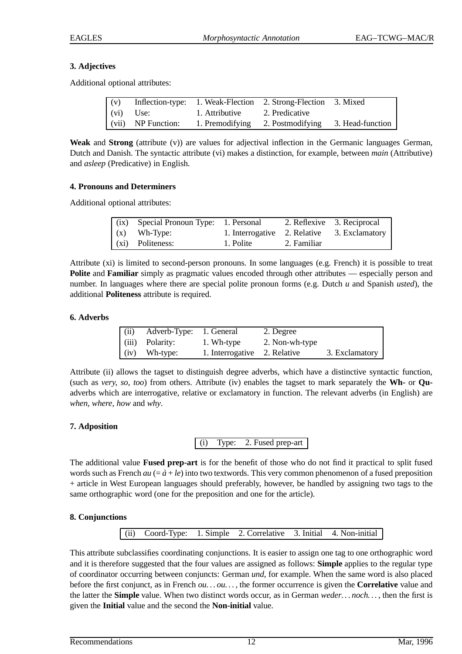## **3. Adjectives**

Additional optional attributes:

|                                  | $\sqrt{(v)}$ Inflection-type: 1. Weak-Flection 2. Strong-Flection 3. Mixed   |  |
|----------------------------------|------------------------------------------------------------------------------|--|
| $\vert$ (vi) Use: 1. Attributive | 2. Predicative                                                               |  |
|                                  | $\vert$ (vii) NP Function: 1. Premodifying 2. Postmodifying 3. Head-function |  |

**Weak** and **Strong** (attribute (v)) are values for adjectival inflection in the Germanic languages German, Dutch and Danish. The syntactic attribute (vi) makes a distinction, for example, between *main* (Attributive) and *asleep* (Predicative) in English.

### **4. Pronouns and Determiners**

Additional optional attributes:

| (ix) Special Pronoun Type: 1. Personal |                                             |             | 2. Reflexive 3. Reciprocal |
|----------------------------------------|---------------------------------------------|-------------|----------------------------|
| $(x)$ Wh-Type:                         | 1. Interrogative 2. Relative 3. Exclamatory |             |                            |
| (xi) Politeness:                       | 1. Polite                                   | 2. Familiar |                            |

Attribute (xi) is limited to second-person pronouns. In some languages (e.g. French) it is possible to treat **Polite** and **Familiar** simply as pragmatic values encoded through other attributes — especially person and number. In languages where there are special polite pronoun forms (e.g. Dutch *u* and Spanish *usted*), the additional **Politeness** attribute is required.

#### **6. Adverbs**

| (ii) | Adverb-Type: 1. General |                              | 2. Degree      |                |
|------|-------------------------|------------------------------|----------------|----------------|
|      | (iii) Polarity:         | 1. Wh-type                   | 2. Non-wh-type |                |
|      | $(iv)$ Wh-type:         | 1. Interrogative 2. Relative |                | 3. Exclamatory |

Attribute (ii) allows the tagset to distinguish degree adverbs, which have a distinctive syntactic function, (such as *very, so, too*) from others. Attribute (iv) enables the tagset to mark separately the **Wh-** or **Qu**adverbs which are interrogative, relative or exclamatory in function. The relevant adverbs (in English) are *when*, *where*, *how* and *why*.

### **7. Adposition**

(i) Type: 2. Fused prep-art

The additional value **Fused prep-art** is for the benefit of those who do not find it practical to split fused words such as French  $au (= \hat{a} + le)$  into two textwords. This very common phenomenon of a fused preposition + article in West European languages should preferably, however, be handled by assigning two tags to the same orthographic word (one for the preposition and one for the article).

### **8. Conjunctions**

(ii) Coord-Type: 1. Simple 2. Correlative 3. Initial 4. Non-initial

This attribute subclassifies coordinating conjunctions. It is easier to assign one tag to one orthographic word and it is therefore suggested that the four values are assigned as follows: **Simple** applies to the regular type of coordinator occurring between conjuncts: German *und*, for example. When the same word is also placed before the first conjunct, as in French *ou. . . ou. . .* , the former occurrence is given the **Correlative** value and the latter the **Simple** value. When two distinct words occur, as in German *weder. . . noch. . .* , then the first is given the **Initial** value and the second the **Non-initial** value.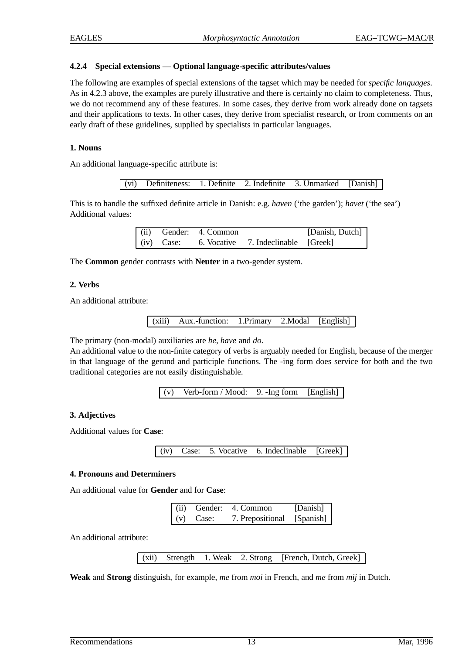#### **4.2.4 Special extensions — Optional language-specific attributes/values**

The following are examples of special extensions of the tagset which may be needed for *specific languages*. As in 4.2.3 above, the examples are purely illustrative and there is certainly no claim to completeness. Thus, we do not recommend any of these features. In some cases, they derive from work already done on tagsets and their applications to texts. In other cases, they derive from specialist research, or from comments on an early draft of these guidelines, supplied by specialists in particular languages.

#### **1. Nouns**

An additional language-specific attribute is:

|  |  | (vi) Definiteness: 1. Definite 2. Indefinite 3. Unmarked [Danish] |  |
|--|--|-------------------------------------------------------------------|--|

This is to handle the suffixed definite article in Danish: e.g. *haven* ('the garden'); *havet* ('the sea') Additional values:

|              | (ii) Gender: 4. Common |                                     | [Danish, Dutch] |
|--------------|------------------------|-------------------------------------|-----------------|
| $(iv)$ Case: |                        | 6. Vocative 7. Indeclinable [Greek] |                 |

The **Common** gender contrasts with **Neuter** in a two-gender system.

### **2. Verbs**

An additional attribute:

| (xiii) Aux.-function: 1.Primary 2.Modal [English] |
|---------------------------------------------------|
|---------------------------------------------------|

The primary (non-modal) auxiliaries are *be*, *have* and *do*.

An additional value to the non-finite category of verbs is arguably needed for English, because of the merger in that language of the gerund and participle functions. The -ing form does service for both and the two traditional categories are not easily distinguishable.

(v) Verb-form / Mood: 9. -Ing form [English]

### **3. Adjectives**

Additional values for **Case**:

(iv) Case: 5. Vocative 6. Indeclinable [Greek]

#### **4. Pronouns and Determiners**

An additional value for **Gender** and for **Case**:

|             | $\int$ (ii) Gender: 4. Common | [Danish] |
|-------------|-------------------------------|----------|
| $(v)$ Case: | 7. Prepositional [Spanish]    |          |

An additional attribute:

(xii) Strength 1. Weak 2. Strong [French, Dutch, Greek]

**Weak** and **Strong** distinguish, for example, *me* from *moi* in French, and *me* from *mij* in Dutch.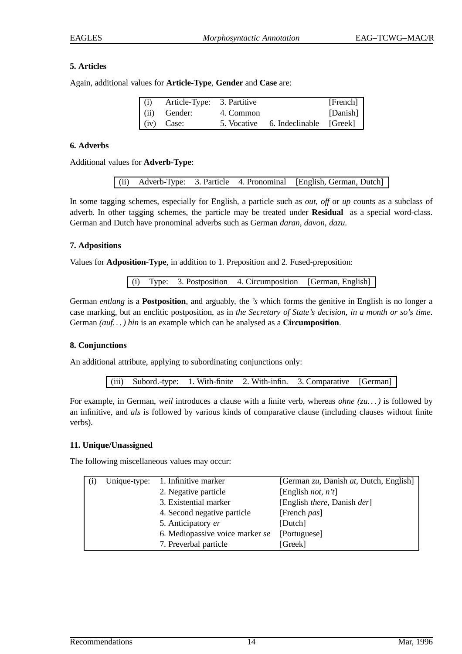## **5. Articles**

Again, additional values for **Article-Type**, **Gender** and **Case** are:

| (i) | Article-Type: 3. Partitive |           |                                     | [French] |
|-----|----------------------------|-----------|-------------------------------------|----------|
|     | $(iii)$ Gender:            | 4. Common |                                     | [Danish] |
|     | $(iv)$ Case:               |           | 5. Vocative 6. Indeclinable [Greek] |          |

#### **6. Adverbs**

Additional values for **Adverb-Type**:

(ii) Adverb-Type: 3. Particle 4. Pronominal [English, German, Dutch]

In some tagging schemes, especially for English, a particle such as *out, off* or *up* counts as a subclass of adverb. In other tagging schemes, the particle may be treated under **Residual** as a special word-class. German and Dutch have pronominal adverbs such as German *daran*, *davon*, *dazu*.

#### **7. Adpositions**

Values for **Adposition-Type**, in addition to 1. Preposition and 2. Fused-preposition:

(i) Type: 3. Postposition 4. Circumposition [German, English]

German *entlang* is a **Postposition**, and arguably, the *'s* which forms the genitive in English is no longer a case marking, but an enclitic postposition, as in *the Secretary of State's decision*, *in a month or so's time*. German *(auf. . .) hin* is an example which can be analysed as a **Circumposition**.

### **8. Conjunctions**

An additional attribute, applying to subordinating conjunctions only:

(iii) Subord.-type: 1. With-finite 2. With-infin. 3. Comparative [German]

For example, in German, *weil* introduces a clause with a finite verb, whereas *ohne (zu. . .)* is followed by an infinitive, and *als* is followed by various kinds of comparative clause (including clauses without finite verbs).

### **11. Unique/Unassigned**

The following miscellaneous values may occur:

| Unique-type: | 1. Infinitive marker            | [German zu, Danish at, Dutch, English] |
|--------------|---------------------------------|----------------------------------------|
|              | 2. Negative particle            | [English <i>not</i> , $n't$ ]          |
|              | 3. Existential marker           | [English there, Danish der]            |
|              | 4. Second negative particle     | [French pas]                           |
|              | 5. Anticipatory er              | [Dutch]                                |
|              | 6. Mediopassive voice marker se | [Portuguese]                           |
|              | 7. Preverbal particle           | [Greek]                                |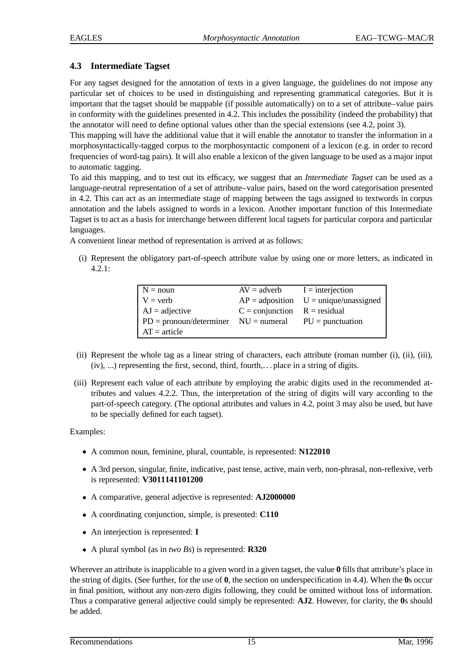## **4.3 Intermediate Tagset**

For any tagset designed for the annotation of texts in a given language, the guidelines do not impose any particular set of choices to be used in distinguishing and representing grammatical categories. But it is important that the tagset should be mappable (if possible automatically) on to a set of attribute–value pairs in conformity with the guidelines presented in 4.2. This includes the possibility (indeed the probability) that the annotator will need to define optional values other than the special extensions (see 4.2, point 3).

This mapping will have the additional value that it will enable the annotator to transfer the information in a morphosyntactically-tagged corpus to the morphosyntactic component of a lexicon (e.g. in order to record frequencies of word-tag pairs). It will also enable a lexicon of the given language to be used as a major input to automatic tagging.

To aid this mapping, and to test out its efficacy, we suggest that an *Intermediate Tagset* can be used as a language-neutral representation of a set of attribute–value pairs, based on the word categorisation presented in 4.2. This can act as an intermediate stage of mapping between the tags assigned to textwords in corpus annotation and the labels assigned to words in a lexicon. Another important function of this Intermediate Tagset is to act as a basis for interchange between different local tagsets for particular corpora and particular languages.

A convenient linear method of representation is arrived at as follows:

(i) Represent the obligatory part-of-speech attribute value by using one or more letters, as indicated in 4.2.1:

| $N = noun$                               | $AV = adverb$                    | $I =$ interjection                        |
|------------------------------------------|----------------------------------|-------------------------------------------|
| $V = verb$                               |                                  | $AP = adposition$ $U = unique/unassigned$ |
| $AJ = \text{adjective}$                  | $C =$ conjunction $R =$ residual |                                           |
| $PD = pronoun/determiner$ $NU = numeral$ |                                  | $PU =$ punctuation                        |
| $AT =$ article                           |                                  |                                           |

- (ii) Represent the whole tag as a linear string of characters, each attribute (roman number (i), (ii), (iii),  $(iv)$ , ...) representing the first, second, third, fourth,... place in a string of digits.
- (iii) Represent each value of each attribute by employing the arabic digits used in the recommended attributes and values 4.2.2. Thus, the interpretation of the string of digits will vary according to the part-of-speech category. (The optional attributes and values in 4.2, point 3 may also be used, but have to be specially defined for each tagset).

Examples:

- A common noun, feminine, plural, countable, is represented: **N122010**
- A 3rd person, singular, finite, indicative, past tense, active, main verb, non-phrasal, non-reflexive, verb is represented: **V3011141101200**
- A comparative, general adjective is represented: **AJ2000000**
- A coordinating conjunction, simple, is presented: **C110**
- An interjection is represented: **I**
- A plural symbol (as in *two Bs*) is represented: **R320**

Wherever an attribute is inapplicable to a given word in a given tagset, the value **0** fills that attribute's place in the string of digits. (See further, for the use of **0**, the section on underspecification in 4.4). When the **0**s occur in final position, without any non-zero digits following, they could be omitted without loss of information. Thus a comparative general adjective could simply be represented: **AJ2**. However, for clarity, the **0**s should be added.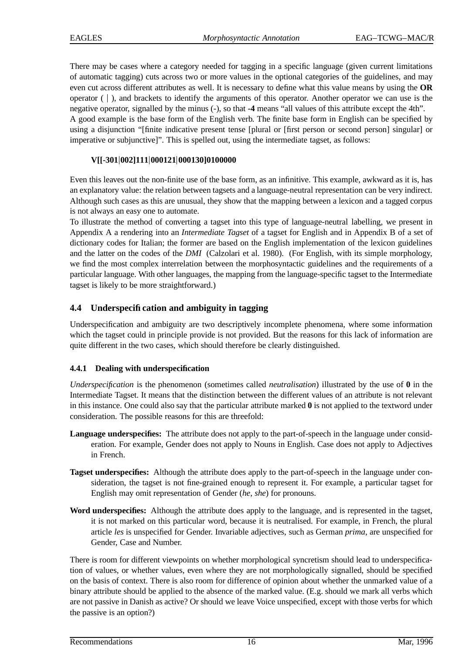There may be cases where a category needed for tagging in a specific language (given current limitations of automatic tagging) cuts across two or more values in the optional categories of the guidelines, and may even cut across different attributes as well. It is necessary to define what this value means by using the **OR** operator ( ), and brackets to identify the arguments of this operator. Another operator we can use is the negative operator, signalled by the minus (-), so that **-4** means "all values of this attribute except the 4th". A good example is the base form of the English verb. The finite base form in English can be specified by using a disjunction "[finite indicative present tense [plural or [first person or second person] singular] or imperative or subjunctive]". This is spelled out, using the intermediate tagset, as follows:

### **V[[-301 002]111 000121 000130]0100000**

Even this leaves out the non-finite use of the base form, as an infinitive. This example, awkward as it is, has an explanatory value: the relation between tagsets and a language-neutral representation can be very indirect. Although such cases as this are unusual, they show that the mapping between a lexicon and a tagged corpus is not always an easy one to automate.

To illustrate the method of converting a tagset into this type of language-neutral labelling, we present in Appendix A a rendering into an *Intermediate Tagset* of a tagset for English and in Appendix B of a set of dictionary codes for Italian; the former are based on the English implementation of the lexicon guidelines and the latter on the codes of the *DMI* (Calzolari et al. 1980). (For English, with its simple morphology, we find the most complex interrelation between the morphosyntactic guidelines and the requirements of a particular language. With other languages, the mapping from the language-specific tagset to the Intermediate tagset is likely to be more straightforward.)

## **4.4 Underspecification and ambiguity in tagging**

Underspecification and ambiguity are two descriptively incomplete phenomena, where some information which the tagset could in principle provide is not provided. But the reasons for this lack of information are quite different in the two cases, which should therefore be clearly distinguished.

### **4.4.1 Dealing with underspecification**

*Underspecification* is the phenomenon (sometimes called *neutralisation*) illustrated by the use of **0** in the Intermediate Tagset. It means that the distinction between the different values of an attribute is not relevant in this instance. One could also say that the particular attribute marked **0** is not applied to the textword under consideration. The possible reasons for this are threefold:

- **Language underspecifies:** The attribute does not apply to the part-of-speech in the language under consideration. For example, Gender does not apply to Nouns in English. Case does not apply to Adjectives in French.
- **Tagset underspecifies:** Although the attribute does apply to the part-of-speech in the language under consideration, the tagset is not fine-grained enough to represent it. For example, a particular tagset for English may omit representation of Gender (*he*, *she*) for pronouns.
- **Word underspecifies:** Although the attribute does apply to the language, and is represented in the tagset, it is not marked on this particular word, because it is neutralised. For example, in French, the plural article *les* is unspecified for Gender. Invariable adjectives, such as German *prima*, are unspecified for Gender, Case and Number.

There is room for different viewpoints on whether morphological syncretism should lead to underspecification of values, or whether values, even where they are not morphologically signalled, should be specified on the basis of context. There is also room for difference of opinion about whether the unmarked value of a binary attribute should be applied to the absence of the marked value. (E.g. should we mark all verbs which are not passive in Danish as active? Or should we leave Voice unspecified, except with those verbs for which the passive is an option?)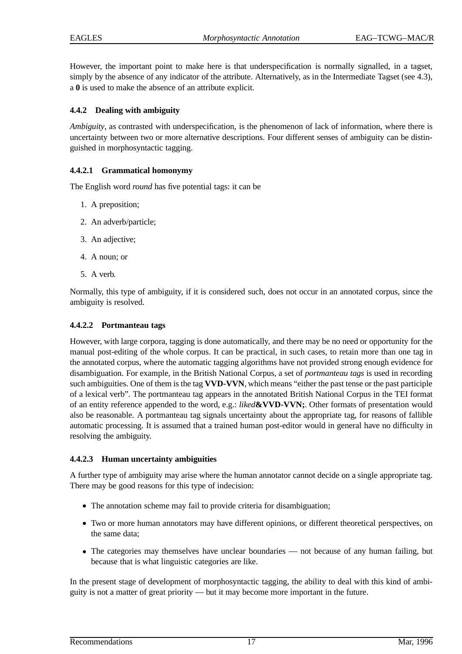However, the important point to make here is that underspecification is normally signalled, in a tagset, simply by the absence of any indicator of the attribute. Alternatively, as in the Intermediate Tagset (see 4.3), a **0** is used to make the absence of an attribute explicit.

### **4.4.2 Dealing with ambiguity**

*Ambiguity*, as contrasted with underspecification, is the phenomenon of lack of information, where there is uncertainty between two or more alternative descriptions. Four different senses of ambiguity can be distinguished in morphosyntactic tagging.

#### **4.4.2.1 Grammatical homonymy**

The English word *round* has five potential tags: it can be

- 1. A preposition;
- 2. An adverb/particle;
- 3. An adjective;
- 4. A noun; or
- 5. A verb.

Normally, this type of ambiguity, if it is considered such, does not occur in an annotated corpus, since the ambiguity is resolved.

#### **4.4.2.2 Portmanteau tags**

However, with large corpora, tagging is done automatically, and there may be no need or opportunity for the manual post-editing of the whole corpus. It can be practical, in such cases, to retain more than one tag in the annotated corpus, where the automatic tagging algorithms have not provided strong enough evidence for disambiguation. For example, in the British National Corpus, a set of *portmanteau tags* is used in recording such ambiguities. One of them is the tag **VVD-VVN**, which means "either the past tense or the past participle of a lexical verb". The portmanteau tag appears in the annotated British National Corpus in the TEI format of an entity reference appended to the word, e.g.: *liked***&VVD-VVN;**. Other formats of presentation would also be reasonable. A portmanteau tag signals uncertainty about the appropriate tag, for reasons of fallible automatic processing. It is assumed that a trained human post-editor would in general have no difficulty in resolving the ambiguity.

#### **4.4.2.3 Human uncertainty ambiguities**

A further type of ambiguity may arise where the human annotator cannot decide on a single appropriate tag. There may be good reasons for this type of indecision:

- The annotation scheme may fail to provide criteria for disambiguation;
- Two or more human annotators may have different opinions, or different theoretical perspectives, on the same data;
- The categories may themselves have unclear boundaries not because of any human failing, but because that is what linguistic categories are like.

In the present stage of development of morphosyntactic tagging, the ability to deal with this kind of ambiguity is not a matter of great priority — but it may become more important in the future.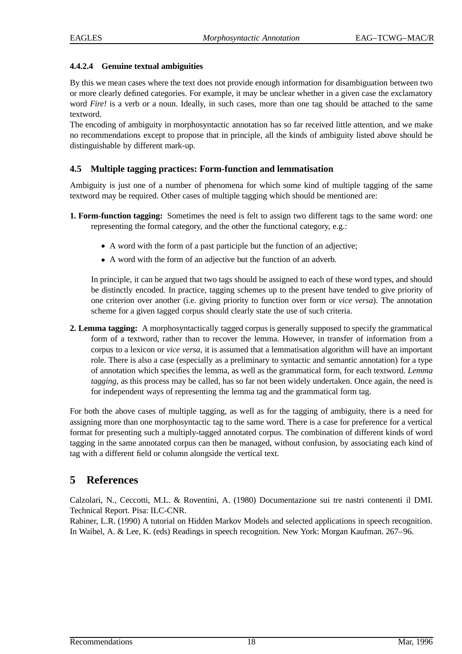#### **4.4.2.4 Genuine textual ambiguities**

By this we mean cases where the text does not provide enough information for disambiguation between two or more clearly defined categories. For example, it may be unclear whether in a given case the exclamatory word *Fire!* is a verb or a noun. Ideally, in such cases, more than one tag should be attached to the same textword.

The encoding of ambiguity in morphosyntactic annotation has so far received little attention, and we make no recommendations except to propose that in principle, all the kinds of ambiguity listed above should be distinguishable by different mark-up.

## **4.5 Multiple tagging practices: Form-function and lemmatisation**

Ambiguity is just one of a number of phenomena for which some kind of multiple tagging of the same textword may be required. Other cases of multiple tagging which should be mentioned are:

- **1. Form-function tagging:** Sometimes the need is felt to assign two different tags to the same word: one representing the formal category, and the other the functional category, e.g.:
	- A word with the form of a past participle but the function of an adjective;
	- A word with the form of an adjective but the function of an adverb.

In principle, it can be argued that two tags should be assigned to each of these word types, and should be distinctly encoded. In practice, tagging schemes up to the present have tended to give priority of one criterion over another (i.e. giving priority to function over form or *vice versa*). The annotation scheme for a given tagged corpus should clearly state the use of such criteria.

**2. Lemma tagging:** A morphosyntactically tagged corpus is generally supposed to specify the grammatical form of a textword, rather than to recover the lemma. However, in transfer of information from a corpus to a lexicon or *vice versa*, it is assumed that a lemmatisation algorithm will have an important role. There is also a case (especially as a preliminary to syntactic and semantic annotation) for a type of annotation which specifies the lemma, as well as the grammatical form, for each textword. *Lemma tagging*, as this process may be called, has so far not been widely undertaken. Once again, the need is for independent ways of representing the lemma tag and the grammatical form tag.

For both the above cases of multiple tagging, as well as for the tagging of ambiguity, there is a need for assigning more than one morphosyntactic tag to the same word. There is a case for preference for a vertical format for presenting such a multiply-tagged annotated corpus. The combination of different kinds of word tagging in the same annotated corpus can then be managed, without confusion, by associating each kind of tag with a different field or column alongside the vertical text.

## **5 References**

Calzolari, N., Ceccotti, M.L. & Roventini, A. (1980) Documentazione sui tre nastri contenenti il DMI. Technical Report. Pisa: ILC-CNR.

Rabiner, L.R. (1990) A tutorial on Hidden Markov Models and selected applications in speech recognition. In Waibel, A. & Lee, K. (eds) Readings in speech recognition. New York: Morgan Kaufman. 267–96.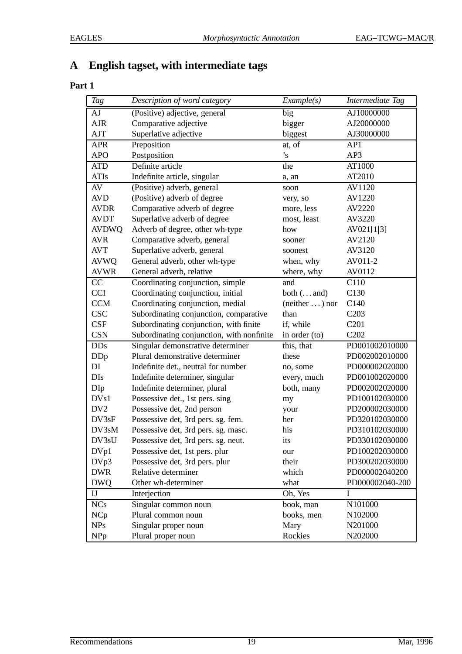# **A English tagset, with intermediate tags**

| <b>Tag</b>             | Description of word category              | Example(s)           | Intermediate Tag |
|------------------------|-------------------------------------------|----------------------|------------------|
| AJ                     | (Positive) adjective, general             | big                  | AJ10000000       |
| <b>AJR</b>             | Comparative adjective                     | bigger               | AJ20000000       |
| <b>AJT</b>             | Superlative adjective                     | biggest              | AJ30000000       |
| <b>APR</b>             | Preposition                               | at, of               | AP1              |
| <b>APO</b>             | Postposition                              | $\cdot_{\rm s}$      | AP3              |
| <b>ATD</b>             | Definite article                          | the                  | AT1000           |
| <b>ATIs</b>            | Indefinite article, singular              | a, an                | AT2010           |
| AV                     | (Positive) adverb, general                | soon                 | AV1120           |
| <b>AVD</b>             | (Positive) adverb of degree               | very, so             | AV1220           |
| <b>AVDR</b>            | Comparative adverb of degree              | more, less           | AV2220           |
| <b>AVDT</b>            | Superlative adverb of degree              | most, least          | AV3220           |
| <b>AVDWQ</b>           | Adverb of degree, other wh-type           | how                  | AV021[1]3]       |
| <b>AVR</b>             | Comparative adverb, general               | sooner               | AV2120           |
| <b>AVT</b>             | Superlative adverb, general               | soonest              | AV3120           |
| <b>AVWQ</b>            | General adverb, other wh-type             | when, why            | AV011-2          |
| <b>AVWR</b>            | General adverb, relative                  | where, why           | AV0112           |
| CC                     | Coordinating conjunction, simple          | and                  | C110             |
| <b>CCI</b>             | Coordinating conjunction, initial         | both $(\ldots$ and)  | C <sub>130</sub> |
| <b>CCM</b>             | Coordinating conjunction, medial          | $neither \dots) nor$ | C140             |
| <b>CSC</b>             | Subordinating conjunction, comparative    | than                 | C <sub>203</sub> |
| <b>CSF</b>             | Subordinating conjunction, with finite    | if, while            | C <sub>201</sub> |
| <b>CSN</b>             | Subordinating conjunction, with nonfinite | in order (to)        | C <sub>202</sub> |
| <b>DDs</b>             | Singular demonstrative determiner         | this, that           | PD001002010000   |
| DDp                    | Plural demonstrative determiner           | these                | PD002002010000   |
| DI                     | Indefinite det., neutral for number       | no, some             | PD000002020000   |
| <b>DIs</b>             | Indefinite determiner, singular           | every, much          | PD001002020000   |
| DIp                    | Indefinite determiner, plural             | both, many           | PD002002020000   |
| DVs1                   | Possessive det., 1st pers. sing           | my                   | PD100102030000   |
| DV <sub>2</sub>        | Possessive det, 2nd person                | your                 | PD200002030000   |
| DV3sF                  | Possessive det, 3rd pers. sg. fem.        | her                  | PD320102030000   |
| DV3sM                  | Possessive det, 3rd pers. sg. masc.       | his                  | PD310102030000   |
| DV3sU                  | Possessive det, 3rd pers. sg. neut.       | its                  | PD330102030000   |
| DVp1                   | Possessive det, 1st pers. plur            | our                  | PD100202030000   |
| DVp3                   | Possessive det, 3rd pers. plur            | their                | PD300202030000   |
| <b>DWR</b>             | Relative determiner                       | which                | PD000002040200   |
| <b>DWQ</b>             | Other wh-determiner                       | what                 | PD000002040-200  |
| $\mathbf{I}\mathbf{J}$ | Interjection                              | Oh, Yes              | T                |
| <b>NCs</b>             | Singular common noun                      | book, man            | N101000          |
| NCp                    | Plural common noun                        | books, men           | N102000          |
| <b>NPs</b>             | Singular proper noun                      | Mary                 | N201000          |
| NPp                    | Plural proper noun                        | Rockies              | N202000          |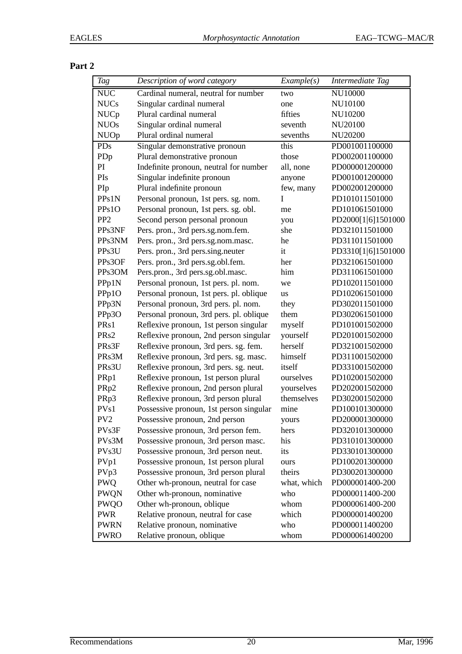| Tag                 | Description of word category            | Example(s)  | Intermediate Tag   |
|---------------------|-----------------------------------------|-------------|--------------------|
| <b>NUC</b>          | Cardinal numeral, neutral for number    | two         | NU10000            |
| <b>NUCs</b>         | Singular cardinal numeral               | one         | <b>NU10100</b>     |
| <b>NUCp</b>         | Plural cardinal numeral                 | fifties     | NU10200            |
| <b>NUOs</b>         | Singular ordinal numeral                | seventh     | <b>NU20100</b>     |
| <b>NUOp</b>         | Plural ordinal numeral                  | sevenths    | <b>NU20200</b>     |
| <b>PDs</b>          | Singular demonstrative pronoun          | this        | PD001001100000     |
| PDp                 | Plural demonstrative pronoun            | those       | PD002001100000     |
| PI                  | Indefinite pronoun, neutral for number  | all, none   | PD000001200000     |
| PIs                 | Singular indefinite pronoun             | anyone      | PD001001200000     |
| PIp                 | Plural indefinite pronoun               | few, many   | PD002001200000     |
| PPs1N               | Personal pronoun, 1st pers. sg. nom.    | I           | PD101011501000     |
| PP <sub>s</sub> 10  | Personal pronoun, 1st pers. sg. obl.    | me          | PD101061501000     |
| PP <sub>2</sub>     | Second person personal pronoun          | you         | PD2000[1 6]1501000 |
| PPs3NF              | Pers. pron., 3rd pers.sg.nom.fem.       | she         | PD321011501000     |
| PP <sub>s</sub> 3NM | Pers. pron., 3rd pers.sg.nom.masc.      | he          | PD311011501000     |
| PPs3U               | Pers. pron., 3rd pers.sing.neuter       | it          | PD3310[1 6]1501000 |
| PPs3OF              | Pers. pron., 3rd pers.sg.obl.fem.       | her         | PD321061501000     |
| PPs3OM              | Pers.pron., 3rd pers.sg.obl.masc.       | him         | PD311061501000     |
| PPp1N               | Personal pronoun, 1st pers. pl. nom.    | we          | PD102011501000     |
| PPp1O               | Personal pronoun, 1st pers. pl. oblique | us          | PD102061501000     |
| PPp3N               | Personal pronoun, 3rd pers. pl. nom.    | they        | PD302011501000     |
| PPp3O               | Personal pronoun, 3rd pers. pl. oblique | them        | PD302061501000     |
| PRs1                | Reflexive pronoun, 1st person singular  | myself      | PD101001502000     |
| PRs2                | Reflexive pronoun, 2nd person singular  | yourself    | PD201001502000     |
| PRs3F               | Reflexive pronoun, 3rd pers. sg. fem.   | herself     | PD321001502000     |
| PRs3M               | Reflexive pronoun, 3rd pers. sg. masc.  | himself     | PD311001502000     |
| PRs3U               | Reflexive pronoun, 3rd pers. sg. neut.  | itself      | PD331001502000     |
| PRp1                | Reflexive pronoun, 1st person plural    | ourselves   | PD102001502000     |
| PR <sub>p</sub> 2   | Reflexive pronoun, 2nd person plural    | yourselves  | PD202001502000     |
| PRp3                | Reflexive pronoun, 3rd person plural    | themselves  | PD302001502000     |
| PVs1                | Possessive pronoun, 1st person singular | mine        | PD100101300000     |
| PV <sub>2</sub>     | Possessive pronoun, 2nd person          | yours       | PD200001300000     |
| PVs3F               | Possessive pronoun, 3rd person fem.     | hers        | PD320101300000     |
| PVs3M               | Possessive pronoun, 3rd person masc.    | his         | PD310101300000     |
| PVs3U               | Possessive pronoun, 3rd person neut.    | its         | PD330101300000     |
| PVp1                | Possessive pronoun, 1st person plural   | ours        | PD100201300000     |
| PVp3                | Possessive pronoun, 3rd person plural   | theirs      | PD300201300000     |
| <b>PWQ</b>          | Other wh-pronoun, neutral for case      | what, which | PD000001400-200    |
| <b>PWQN</b>         | Other wh-pronoun, nominative            | who         | PD000011400-200    |
| <b>PWQO</b>         | Other wh-pronoun, oblique               | whom        | PD000061400-200    |
| <b>PWR</b>          | Relative pronoun, neutral for case      | which       | PD000001400200     |
| <b>PWRN</b>         | Relative pronoun, nominative            | who         | PD000011400200     |
| <b>PWRO</b>         | Relative pronoun, oblique               | whom        | PD000061400200     |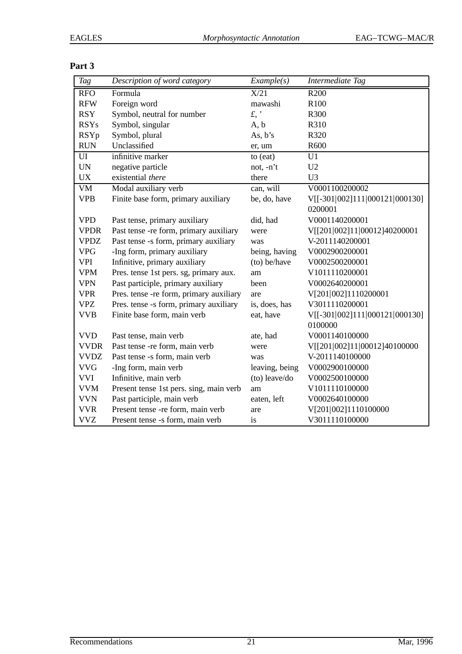| <b>Tag</b>      | Description of word category            | Example(s)     | Intermediate Tag               |
|-----------------|-----------------------------------------|----------------|--------------------------------|
| <b>RFO</b>      | Formula                                 | X/21           | R <sub>200</sub>               |
| <b>RFW</b>      | Foreign word                            | mawashi        | R100                           |
| <b>RSY</b>      | Symbol, neutral for number              | f, '           | R300                           |
| <b>RSYs</b>     | Symbol, singular                        | A, b           | R310                           |
| <b>RSYp</b>     | Symbol, plural                          | As, $b's$      | R320                           |
| <b>RUN</b>      | Unclassified                            | er, um         | R600                           |
| $\overline{UI}$ | infinitive marker                       | to (eat)       | $\overline{U1}$                |
| <b>UN</b>       | negative particle                       | not, -n't      | U2                             |
| <b>UX</b>       | existential there                       | there          | U <sub>3</sub>                 |
| VM              | Modal auxiliary verb                    | can, will      | V0001100200002                 |
| <b>VPB</b>      | Finite base form, primary auxiliary     | be, do, have   | V[[-301 002]111 000121 000130] |
|                 |                                         |                | 0200001                        |
| <b>VPD</b>      | Past tense, primary auxiliary           | did, had       | V0001140200001                 |
| <b>VPDR</b>     | Past tense -re form, primary auxiliary  | were           | V[[201 002]11 00012]40200001   |
| <b>VPDZ</b>     | Past tense -s form, primary auxiliary   | was            | V-2011140200001                |
| <b>VPG</b>      | -Ing form, primary auxiliary            | being, having  | V0002900200001                 |
| <b>VPI</b>      | Infinitive, primary auxiliary           | (to) be/have   | V0002500200001                 |
| <b>VPM</b>      | Pres. tense 1st pers. sg, primary aux.  | am             | V1011110200001                 |
| <b>VPN</b>      | Past participle, primary auxiliary      | been           | V0002640200001                 |
| <b>VPR</b>      | Pres. tense -re form, primary auxiliary | are            | V[201 002]1110200001           |
| <b>VPZ</b>      | Pres. tense -s form, primary auxiliary  | is, does, has  | V3011110200001                 |
| <b>VVB</b>      | Finite base form, main verb             | eat, have      | V[[-301 002]111 000121 000130] |
|                 |                                         |                | 0100000                        |
| <b>VVD</b>      | Past tense, main verb                   | ate, had       | V0001140100000                 |
| <b>VVDR</b>     | Past tense -re form, main verb          | were           | V[[201 002]11 00012]40100000   |
| <b>VVDZ</b>     | Past tense -s form, main verb           | was            | V-2011140100000                |
| <b>VVG</b>      | -Ing form, main verb                    | leaving, being | V0002900100000                 |
| <b>VVI</b>      | Infinitive, main verb                   | (to) leave/do  | V0002500100000                 |
| <b>VVM</b>      | Present tense 1st pers. sing, main verb | am             | V1011110100000                 |
| <b>VVN</b>      | Past participle, main verb              | eaten, left    | V0002640100000                 |
| <b>VVR</b>      | Present tense -re form, main verb       | are            | V[201 002]1110100000           |
| <b>VVZ</b>      | Present tense -s form, main verb        | is             | V3011110100000                 |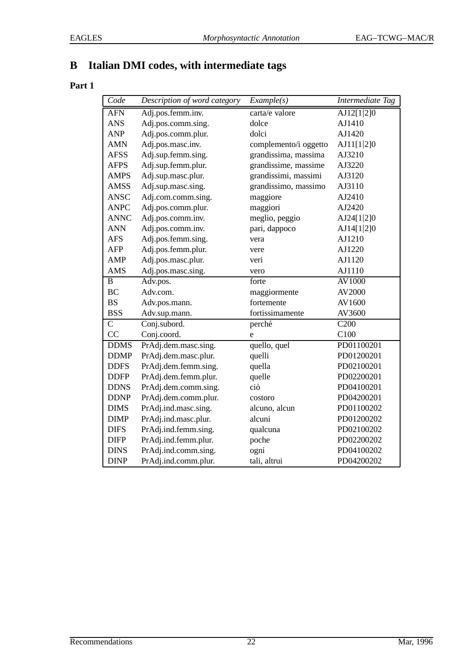# **B Italian DMI codes, with intermediate tags**

| Code         | Description of word category | Example(s)            | Intermediate Tag |
|--------------|------------------------------|-----------------------|------------------|
| <b>AFN</b>   | Adj.pos.femm.inv.            | carta/e valore        | AJ12[1 2]0       |
| <b>ANS</b>   | Adj.pos.comm.sing.           | dolce                 | AJ1410           |
| <b>ANP</b>   | Adj.pos.comm.plur.           | dolci                 | AJ1420           |
| <b>AMN</b>   | Adj.pos.masc.inv.            | complemento/i oggetto | AJ11[1 2]0       |
| <b>AFSS</b>  | Adj.sup.femm.sing.           | grandissima, massima  | AJ3210           |
| <b>AFPS</b>  | Adj.sup.femm.plur.           | grandissime, massime  | AJ3220           |
| <b>AMPS</b>  | Adj.sup.masc.plur.           | grandissimi, massimi  | AJ3120           |
| <b>AMSS</b>  | Adj.sup.masc.sing.           | grandissimo, massimo  | AJ3110           |
| <b>ANSC</b>  | Adj.com.comm.sing.           | maggiore              | AJ2410           |
| <b>ANPC</b>  | Adj.pos.comm.plur.           | maggiori              | AJ2420           |
| <b>ANNC</b>  | Adj.pos.comm.inv.            | meglio, peggio        | AJ24[1 2]0       |
| <b>ANN</b>   | Adj.pos.comm.inv.            | pari, dappoco         | AJ14[1 2]0       |
| <b>AFS</b>   | Adj.pos.femm.sing.           | vera                  | AJ1210           |
| <b>AFP</b>   | Adj.pos.femm.plur.           | vere                  | AJ1220           |
| <b>AMP</b>   | Adj.pos.masc.plur.           | veri                  | AJ1120           |
| <b>AMS</b>   | Adj.pos.masc.sing.           | vero                  | AJ1110           |
| B            | Adv.pos.                     | forte                 | AV1000           |
| BC           | Adv.com.                     | maggiormente          | AV2000           |
| <b>BS</b>    | Adv.pos.mann.                | fortemente            | AV1600           |
| <b>BSS</b>   | Adv.sup.mann.                | fortissimamente       | AV3600           |
| $\mathsf{C}$ | Conj.subord.                 | perché                | C200             |
| CC           | Conj.coord.                  | e                     | C100             |
| <b>DDMS</b>  | PrAdj.dem.masc.sing.         | quello, quel          | PD01100201       |
| <b>DDMP</b>  | PrAdj.dem.masc.plur.         | quelli                | PD01200201       |
| <b>DDFS</b>  | PrAdj.dem.femm.sing.         | quella                | PD02100201       |
| <b>DDFP</b>  | PrAdj.dem.femm.plur.         | quelle                | PD02200201       |
| <b>DDNS</b>  | PrAdj.dem.comm.sing.         | ciò                   | PD04100201       |
| <b>DDNP</b>  | PrAdj.dem.comm.plur.         | costoro               | PD04200201       |
| <b>DIMS</b>  | PrAdj.ind.masc.sing.         | alcuno, alcun         | PD01100202       |
| <b>DIMP</b>  | PrAdj.ind.masc.plur.         | alcuni                | PD01200202       |
| <b>DIFS</b>  | PrAdj.ind.femm.sing.         | qualcuna              | PD02100202       |
| <b>DIFP</b>  | PrAdj.ind.femm.plur.         | poche                 | PD02200202       |
| <b>DINS</b>  | PrAdj.ind.comm.sing.         | ogni                  | PD04100202       |
| <b>DINP</b>  | PrAdj.ind.comm.plur.         | tali, altrui          | PD04200202       |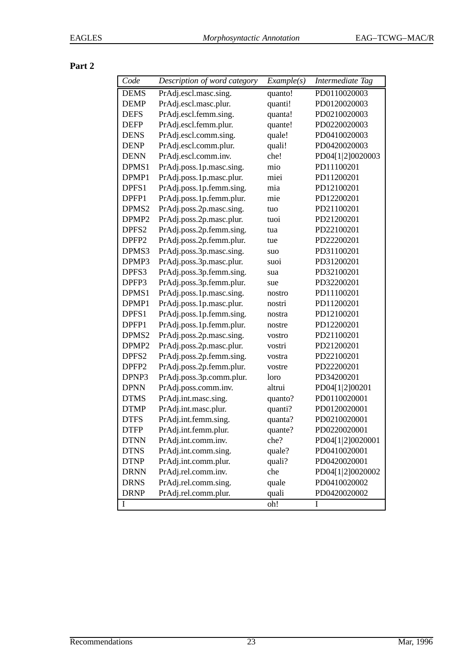| Code              | Description of word category | Example(s) | Intermediate Tag |
|-------------------|------------------------------|------------|------------------|
| <b>DEMS</b>       | PrAdj.escl.masc.sing.        | quanto!    | PD0110020003     |
| <b>DEMP</b>       | PrAdj.escl.masc.plur.        | quanti!    | PD0120020003     |
| <b>DEFS</b>       | PrAdj.escl.femm.sing.        | quanta!    | PD0210020003     |
| <b>DEFP</b>       | PrAdj.escl.femm.plur.        | quante!    | PD0220020003     |
| <b>DENS</b>       | PrAdj.escl.comm.sing.        | quale!     | PD0410020003     |
| <b>DENP</b>       | PrAdj.escl.comm.plur.        | quali!     | PD0420020003     |
| <b>DENN</b>       | PrAdj.escl.comm.inv.         | che!       | PD04[1 2]0020003 |
| DPMS1             | PrAdj.poss.1p.masc.sing.     | mio        | PD11100201       |
| DPMP1             | PrAdj.poss.1p.masc.plur.     | miei       | PD11200201       |
| DPFS1             | PrAdj.poss.1p.femm.sing.     | mia        | PD12100201       |
| DPFP1             | PrAdj.poss.1p.femm.plur.     | mie        | PD12200201       |
| DPMS <sub>2</sub> | PrAdj.poss.2p.masc.sing.     | tuo        | PD21100201       |
| DPMP <sub>2</sub> | PrAdj.poss.2p.masc.plur.     | tuoi       | PD21200201       |
| DPFS <sub>2</sub> | PrAdj.poss.2p.femm.sing.     | tua        | PD22100201       |
| DPFP2             | PrAdj.poss.2p.femm.plur.     | tue        | PD22200201       |
| DPMS3             | PrAdj.poss.3p.masc.sing.     | suo        | PD31100201       |
| DPMP3             | PrAdj.poss.3p.masc.plur.     | suoi       | PD31200201       |
| DPFS3             | PrAdj.poss.3p.femm.sing.     | sua        | PD32100201       |
| DPFP3             | PrAdj.poss.3p.femm.plur.     | sue        | PD32200201       |
| DPMS1             | PrAdj.poss.1p.masc.sing.     | nostro     | PD11100201       |
| DPMP1             | PrAdj.poss.1p.masc.plur.     | nostri     | PD11200201       |
| DPFS1             | PrAdj.poss.1p.femm.sing.     | nostra     | PD12100201       |
| DPFP1             | PrAdj.poss.1p.femm.plur.     | nostre     | PD12200201       |
| DPMS2             | PrAdj.poss.2p.masc.sing.     | vostro     | PD21100201       |
| DPMP <sub>2</sub> | PrAdj.poss.2p.masc.plur.     | vostri     | PD21200201       |
| DPFS2             | PrAdj.poss.2p.femm.sing.     | vostra     | PD22100201       |
| DPFP <sub>2</sub> | PrAdj.poss.2p.femm.plur.     | vostre     | PD22200201       |
| DPNP3             | PrAdj.poss.3p.comm.plur.     | loro       | PD34200201       |
| <b>DPNN</b>       | PrAdj.poss.comm.inv.         | altrui     | PD04[1 2]00201   |
| <b>DTMS</b>       | PrAdj.int.masc.sing.         | quanto?    | PD0110020001     |
| <b>DTMP</b>       | PrAdj.int.masc.plur.         | quanti?    | PD0120020001     |
| <b>DTFS</b>       | PrAdj.int.femm.sing.         | quanta?    | PD0210020001     |
| <b>DTFP</b>       | PrAdj.int.femm.plur.         | quante?    | PD0220020001     |
| <b>DTNN</b>       | PrAdj.int.comm.inv.          | che?       | PD04[1 2]0020001 |
| <b>DTNS</b>       | PrAdj.int.comm.sing.         | quale?     | PD0410020001     |
| <b>DTNP</b>       | PrAdj.int.comm.plur.         | quali?     | PD0420020001     |
| <b>DRNN</b>       | PrAdj.rel.comm.inv.          | che        | PD04[1 2]0020002 |
| <b>DRNS</b>       | PrAdj.rel.comm.sing.         | quale      | PD0410020002     |
| <b>DRNP</b>       | PrAdj.rel.comm.plur.         | quali      | PD0420020002     |
| I                 |                              | oh!        | I                |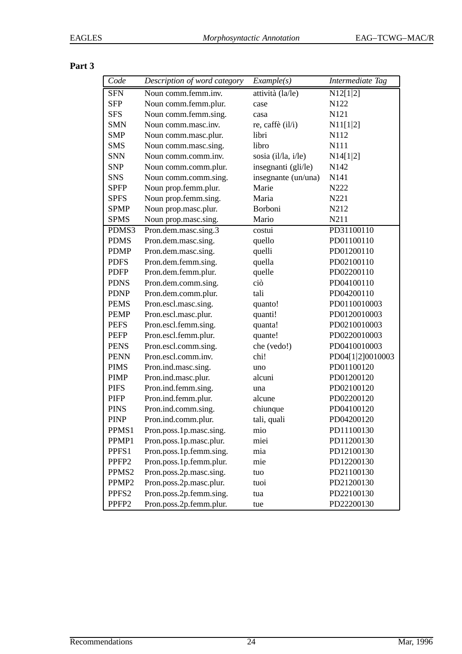| Code              | Description of word category | Example(s)          | Intermediate Tag |
|-------------------|------------------------------|---------------------|------------------|
| <b>SFN</b>        | Noun comm.femm.inv.          | attività (la/le)    | N12[1 2]         |
| <b>SFP</b>        | Noun comm.femm.plur.         | case                | N122             |
| <b>SFS</b>        | Noun comm.femm.sing.         | casa                | N121             |
| <b>SMN</b>        | Noun comm.masc.inv.          | re, caffè (il/i)    | N11[1 2]         |
| <b>SMP</b>        | Noun comm.masc.plur.         | libri               | N112             |
| <b>SMS</b>        | Noun comm.masc.sing.         | libro               | N111             |
| <b>SNN</b>        | Noun comm.comm.inv.          | sosia (il/la, i/le) | N14[1 2]         |
| <b>SNP</b>        | Noun comm.comm.plur.         | insegnanti (gli/le) | N142             |
| <b>SNS</b>        | Noun comm.comm.sing.         | insegnante (un/una) | N <sub>141</sub> |
| <b>SPFP</b>       | Noun prop.femm.plur.         | Marie               | N222             |
| <b>SPFS</b>       | Noun prop.femm.sing.         | Maria               | N221             |
| <b>SPMP</b>       | Noun prop.masc.plur.         | Borboni             | N212             |
| <b>SPMS</b>       | Noun prop.masc.sing.         | Mario               | N211             |
| PDMS3             | Pron.dem.masc.sing.3         | costui              | PD31100110       |
| <b>PDMS</b>       | Pron.dem.masc.sing.          | quello              | PD01100110       |
| <b>PDMP</b>       | Pron.dem.masc.sing.          | quelli              | PD01200110       |
| <b>PDFS</b>       | Pron.dem.femm.sing.          | quella              | PD02100110       |
| <b>PDFP</b>       | Pron.dem.femm.plur.          | quelle              | PD02200110       |
| <b>PDNS</b>       | Pron.dem.comm.sing.          | ciò                 | PD04100110       |
| <b>PDNP</b>       | Pron.dem.comm.plur.          | tali                | PD04200110       |
| <b>PEMS</b>       | Pron.escl.masc.sing.         | quanto!             | PD0110010003     |
| <b>PEMP</b>       | Pron.escl.masc.plur.         | quanti!             | PD0120010003     |
| <b>PEFS</b>       | Pron.escl.femm.sing.         | quanta!             | PD0210010003     |
| <b>PEFP</b>       | Pron.escl.femm.plur.         | quante!             | PD0220010003     |
| <b>PENS</b>       | Pron.escl.comm.sing.         | che (vedo!)         | PD0410010003     |
| <b>PENN</b>       | Pron.escl.comm.inv.          | chi!                | PD04[1 2]0010003 |
| <b>PIMS</b>       | Pron.ind.masc.sing.          | uno                 | PD01100120       |
| <b>PIMP</b>       | Pron.ind.masc.plur.          | alcuni              | PD01200120       |
| <b>PIFS</b>       | Pron.ind.femm.sing.          | una                 | PD02100120       |
| <b>PIFP</b>       | Pron.ind.femm.plur.          | alcune              | PD02200120       |
| <b>PINS</b>       | Pron.ind.comm.sing.          | chiunque            | PD04100120       |
| <b>PINP</b>       | Pron.ind.comm.plur.          | tali, quali         | PD04200120       |
| PPMS1             | Pron.poss.1p.masc.sing.      | mio                 | PD11100130       |
| PPMP1             | Pron.poss.1p.masc.plur.      | miei                | PD11200130       |
| PPFS1             | Pron.poss.1p.femm.sing.      | mia                 | PD12100130       |
| PPFP <sub>2</sub> | Pron.poss.1p.femm.plur.      | mie                 | PD12200130       |
| PPMS2             | Pron.poss.2p.masc.sing.      | tuo                 | PD21100130       |
| PPMP2             | Pron.poss.2p.masc.plur.      | tuoi                | PD21200130       |
| PPFS2             | Pron.poss.2p.femm.sing.      | tua                 | PD22100130       |
| PPFP <sub>2</sub> | Pron.poss.2p.femm.plur.      | tue                 | PD22200130       |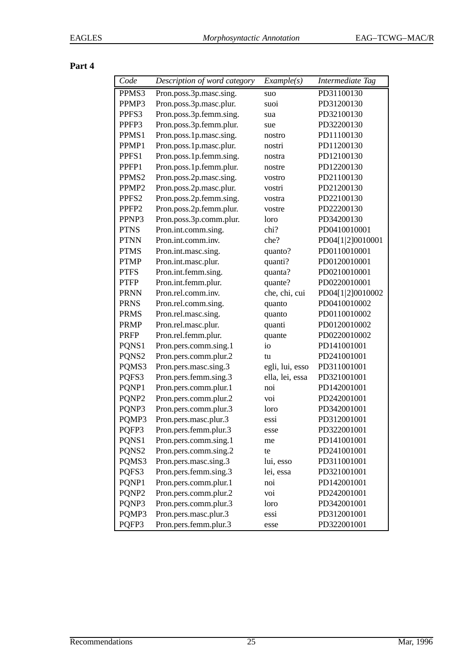| Code              | Description of word category | Example(s)      | Intermediate Tag |
|-------------------|------------------------------|-----------------|------------------|
| PPMS3             | Pron.poss.3p.masc.sing.      | suo             | PD31100130       |
| PPMP3             | Pron.poss.3p.masc.plur.      | suoi            | PD31200130       |
| PPFS3             | Pron.poss.3p.femm.sing.      | sua             | PD32100130       |
| PPFP3             | Pron.poss.3p.femm.plur.      | sue             | PD32200130       |
| PPMS1             | Pron.poss.1p.masc.sing.      | nostro          | PD11100130       |
| PPMP1             | Pron.poss.1p.masc.plur.      | nostri          | PD11200130       |
| PPFS1             | Pron.poss.1p.femm.sing.      | nostra          | PD12100130       |
| PPFP1             | Pron.poss.1p.femm.plur.      | nostre          | PD12200130       |
| PPMS <sub>2</sub> | Pron.poss.2p.masc.sing.      | vostro          | PD21100130       |
| PPMP <sub>2</sub> | Pron.poss.2p.masc.plur.      | vostri          | PD21200130       |
| PPFS <sub>2</sub> | Pron.poss.2p.femm.sing.      | vostra          | PD22100130       |
| PPFP <sub>2</sub> | Pron.poss.2p.femm.plur.      | vostre          | PD22200130       |
| PPNP3             | Pron.poss.3p.comm.plur.      | loro            | PD34200130       |
| <b>PTNS</b>       | Pron.int.comm.sing.          | chi?            | PD0410010001     |
| <b>PTNN</b>       | Pron.int.comm.inv.           | che?            | PD04[1 2]0010001 |
| <b>PTMS</b>       | Pron.int.masc.sing.          | quanto?         | PD0110010001     |
| <b>PTMP</b>       | Pron.int.masc.plur.          | quanti?         | PD0120010001     |
| <b>PTFS</b>       | Pron.int.femm.sing.          | quanta?         | PD0210010001     |
| <b>PTFP</b>       | Pron.int.femm.plur.          | quante?         | PD0220010001     |
| <b>PRNN</b>       | Pron.rel.comm.inv.           | che, chi, cui   | PD04[1 2]0010002 |
| <b>PRNS</b>       | Pron.rel.comm.sing.          | quanto          | PD0410010002     |
| <b>PRMS</b>       | Pron.rel.masc.sing.          | quanto          | PD0110010002     |
| <b>PRMP</b>       | Pron.rel.masc.plur.          | quanti          | PD0120010002     |
| <b>PRFP</b>       | Pron.rel.femm.plur.          | quante          | PD0220010002     |
| PQNS1             | Pron.pers.comm.sing.1        | io              | PD141001001      |
| PQNS2             | Pron.pers.comm.plur.2        | tu              | PD241001001      |
| PQMS3             | Pron.pers.masc.sing.3        | egli, lui, esso | PD311001001      |
| PQFS3             | Pron.pers.femm.sing.3        | ella, lei, essa | PD321001001      |
| PQNP1             | Pron.pers.comm.plur.1        | noi             | PD142001001      |
| PQNP2             | Pron.pers.comm.plur.2        | voi             | PD242001001      |
| PQNP3             | Pron.pers.comm.plur.3        | loro            | PD342001001      |
| PQMP3             | Pron.pers.masc.plur.3        | essi            | PD312001001      |
| PQFP3             | Pron.pers.femm.plur.3        | esse            | PD322001001      |
| PQNS1             | Pron.pers.comm.sing.1        | me              | PD141001001      |
| PQNS2             | Pron.pers.comm.sing.2        | te              | PD241001001      |
| PQMS3             | Pron.pers.masc.sing.3        | lui, esso       | PD311001001      |
| PQFS3             | Pron.pers.femm.sing.3        | lei, essa       | PD321001001      |
| PQNP1             | Pron.pers.comm.plur.1        | noi             | PD142001001      |
| PQNP2             | Pron.pers.comm.plur.2        | voi             | PD242001001      |
| PQNP3             | Pron.pers.comm.plur.3        | loro            | PD342001001      |
| PQMP3             | Pron.pers.masc.plur.3        | essi            | PD312001001      |
| PQFP3             | Pron.pers.femm.plur.3        | esse            | PD322001001      |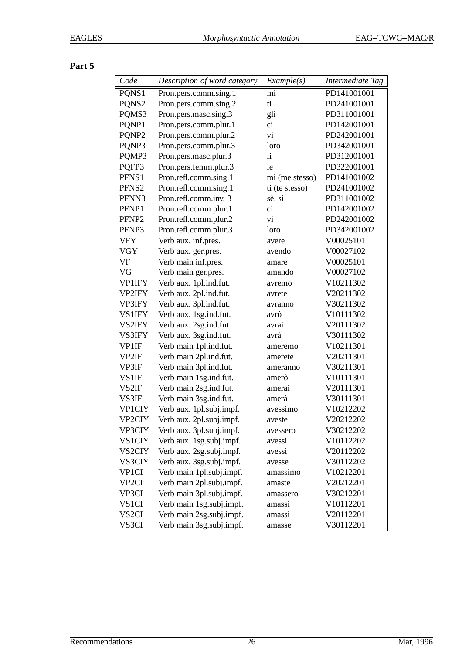| Code               | Description of word category | Example(s)     | <b>Intermediate Tag</b> |
|--------------------|------------------------------|----------------|-------------------------|
| PQNS1              | Pron.pers.comm.sing.1        | mi             | PD141001001             |
| PQNS2              | Pron.pers.comm.sing.2        | $\mathbf{t}$   | PD241001001             |
| PQMS3              | Pron.pers.masc.sing.3        | gli            | PD311001001             |
| PQNP1              | Pron.pers.comm.plur.1        | ci             | PD142001001             |
| PQNP2              | Pron.pers.comm.plur.2        | vi             | PD242001001             |
| PQNP3              | Pron.pers.comm.plur.3        | loro           | PD342001001             |
| PQMP3              | Pron.pers.masc.plur.3        | $\mathbf{h}$   | PD312001001             |
| PQFP3              | Pron.pers.femm.plur.3        | le             | PD322001001             |
| PFNS1              | Pron.refl.comm.sing.1        | mi (me stesso) | PD141001002             |
| PFNS <sub>2</sub>  | Pron.refl.comm.sing.1        | ti (te stesso) | PD241001002             |
| PFNN3              | Pron.refl.comm.inv. 3        | sè, si         | PD311001002             |
| PFNP1              | Pron.refl.comm.plur.1        | ci             | PD142001002             |
| PFNP <sub>2</sub>  | Pron.refl.comm.plur.2        | vi             | PD242001002             |
| PFNP3              | Pron.refl.comm.plur.3        | loro           | PD342001002             |
| <b>VFY</b>         | Verb aux. inf.pres.          | avere          | V00025101               |
| <b>VGY</b>         | Verb aux. ger.pres.          | avendo         | V00027102               |
| <b>VF</b>          | Verb main inf.pres.          | amare          | V00025101               |
| VG                 | Verb main ger.pres.          | amando         | V00027102               |
| <b>VP1IFY</b>      | Verb aux. 1pl.ind.fut.       | avremo         | V10211302               |
| <b>VP2IFY</b>      | Verb aux. 2pl.ind.fut.       | avrete         | V20211302               |
| VP3IFY             | Verb aux. 3pl.ind.fut.       | avranno        | V30211302               |
| <b>VS1IFY</b>      | Verb aux. 1sg.ind.fut.       | avrò           | V10111302               |
| <b>VS2IFY</b>      | Verb aux. 2sg.ind.fut.       | avrai          | V20111302               |
| <b>VS3IFY</b>      | Verb aux. 3sg.ind.fut.       | avrà           | V30111302               |
| <b>VP1IF</b>       | Verb main 1pl.ind.fut.       | ameremo        | V10211301               |
| VP2IF              | Verb main 2pl.ind.fut.       | amerete        | V20211301               |
| VP3IF              | Verb main 3pl.ind.fut.       | ameranno       | V30211301               |
| <b>VS1IF</b>       | Verb main 1sg.ind.fut.       | amerò          | V10111301               |
| VS2IF              | Verb main 2sg.ind.fut.       | amerai         | V20111301               |
| VS3IF              | Verb main 3sg.ind.fut.       | amerà          | V30111301               |
| <b>VP1CIY</b>      | Verb aux. 1pl.subj.impf.     | avessimo       | V10212202               |
| VP2CIY             | Verb aux. 2pl.subj.impf.     | aveste         | V20212202               |
| VP3CIY             | Verb aux. 3pl.subj.impf.     | avessero       | V30212202               |
| <b>VS1CIY</b>      | Verb aux. 1sg.subj.impf.     | avessi         | V10112202               |
| VS2CIY             | Verb aux. 2sg.subj.impf.     | avessi         | V20112202               |
| VS3CIY             | Verb aux. 3sg.subj.impf.     | avesse         | V30112202               |
| <b>VP1CI</b>       | Verb main 1pl.subj.impf.     | amassimo       | V10212201               |
| VP2CI              | Verb main 2pl.subj.impf.     | amaste         | V20212201               |
| VP3CI              | Verb main 3pl.subj.impf.     | amassero       | V30212201               |
| VS <sub>1</sub> CI | Verb main 1sg.subj.impf.     | amassi         | V10112201               |
| VS2CI              | Verb main 2sg.subj.impf.     | amassi         | V20112201               |
| VS3CI              | Verb main 3sg.subj.impf.     | amasse         | V30112201               |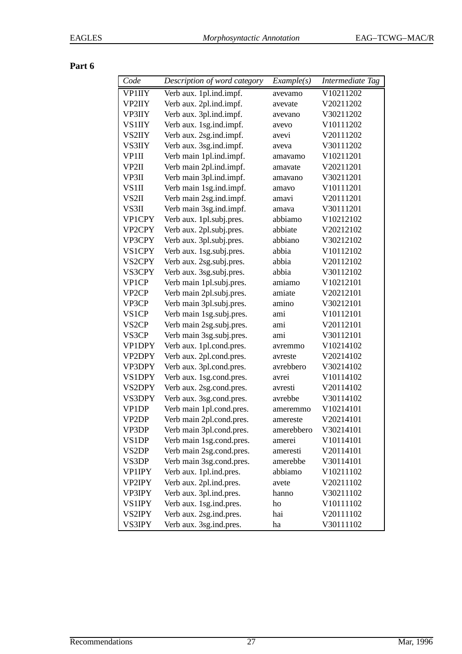| Code               | Description of word category | Example(s) | <b>Intermediate Tag</b> |
|--------------------|------------------------------|------------|-------------------------|
| <b>VP1IIY</b>      | Verb aux. 1pl.ind.impf.      | avevamo    | V10211202               |
| VP2IIY             | Verb aux. 2pl.ind.impf.      | avevate    | V20211202               |
| VP3IIY             | Verb aux. 3pl.ind.impf.      | avevano    | V30211202               |
| <b>VS1IIY</b>      | Verb aux. 1sg.ind.impf.      | avevo      | V10111202               |
| <b>VS2IIY</b>      | Verb aux. 2sg.ind.impf.      | avevi      | V20111202               |
| VS3IIY             | Verb aux. 3sg.ind.impf.      | aveva      | V30111202               |
| VP1II              | Verb main 1pl.ind.impf.      | amavamo    | V10211201               |
| VP2II              | Verb main 2pl.ind.impf.      | amavate    | V20211201               |
| VP3II              | Verb main 3pl.ind.impf.      | amavano    | V30211201               |
| VS <sub>1II</sub>  | Verb main 1sg.ind.impf.      | amavo      | V10111201               |
| VS2II              | Verb main 2sg.ind.impf.      | amavi      | V20111201               |
| VS3II              | Verb main 3sg.ind.impf.      | amava      | V30111201               |
| <b>VP1CPY</b>      | Verb aux. 1pl.subj.pres.     | abbiamo    | V10212102               |
| VP2CPY             | Verb aux. 2pl.subj.pres.     | abbiate    | V20212102               |
| VP3CPY             | Verb aux. 3pl.subj.pres.     | abbiano    | V30212102               |
| <b>VS1CPY</b>      | Verb aux. 1sg.subj.pres.     | abbia      | V10112102               |
| VS2CPY             | Verb aux. 2sg.subj.pres.     | abbia      | V20112102               |
| VS3CPY             | Verb aux. 3sg.subj.pres.     | abbia      | V30112102               |
| <b>VP1CP</b>       | Verb main 1pl.subj.pres.     | amiamo     | V10212101               |
| VP <sub>2</sub> CP | Verb main 2pl.subj.pres.     | amiate     | V20212101               |
| VP3CP              | Verb main 3pl.subj.pres.     | amino      | V30212101               |
| <b>VS1CP</b>       | Verb main 1sg.subj.pres.     | ami        | V10112101               |
| VS <sub>2</sub> CP | Verb main 2sg.subj.pres.     | ami        | V20112101               |
| VS3CP              | Verb main 3sg.subj.pres.     | ami        | V30112101               |
| VP1DPY             | Verb aux. 1pl.cond.pres.     | avremmo    | V10214102               |
| VP2DPY             | Verb aux. 2pl.cond.pres.     | avreste    | V20214102               |
| VP3DPY             | Verb aux. 3pl.cond.pres.     | avrebbero  | V30214102               |
| <b>VS1DPY</b>      | Verb aux. 1sg.cond.pres.     | avrei      | V10114102               |
| VS2DPY             | Verb aux. 2sg.cond.pres.     | avresti    | V20114102               |
| VS3DPY             | Verb aux. 3sg.cond.pres.     | avrebbe    | V30114102               |
| VP1DP              | Verb main 1pl.cond.pres.     | ameremmo   | V10214101               |
| VP <sub>2</sub> DP | Verb main 2pl.cond.pres.     | amereste   | V20214101               |
| VP3DP              | Verb main 3pl.cond.pres.     | amerebbero | V30214101               |
| VS <sub>1</sub> DP | Verb main 1sg.cond.pres.     | amerei     | V10114101               |
| VS <sub>2</sub> DP | Verb main 2sg.cond.pres.     | ameresti   | V20114101               |
| VS3DP              | Verb main 3sg.cond.pres.     | amerebbe   | V30114101               |
| <b>VP1IPY</b>      | Verb aux. 1pl.ind.pres.      | abbiamo    | V10211102               |
| VP2IPY             | Verb aux. 2pl.ind.pres.      | avete      | V20211102               |
| VP3IPY             | Verb aux. 3pl.ind.pres.      | hanno      | V30211102               |
| <b>VS1IPY</b>      | Verb aux. 1sg.ind.pres.      | ho         | V10111102               |
| <b>VS2IPY</b>      | Verb aux. 2sg.ind.pres.      | hai        | V20111102               |
| VS3IPY             | Verb aux. 3sg.ind.pres.      | ha         | V30111102               |